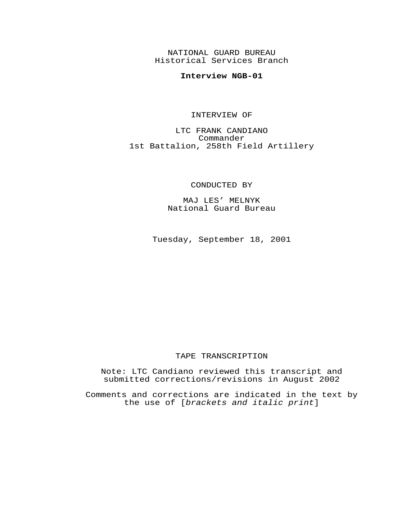NATIONAL GUARD BUREAU Historical Services Branch

# **Interview NGB-01**

#### INTERVIEW OF

LTC FRANK CANDIANO Commander 1st Battalion, 258th Field Artillery

CONDUCTED BY

MAJ LES' MELNYK National Guard Bureau

Tuesday, September 18, 2001

# TAPE TRANSCRIPTION

Note: LTC Candiano reviewed this transcript and submitted corrections/revisions in August 2002

Comments and corrections are indicated in the text by the use of [*brackets and italic print*]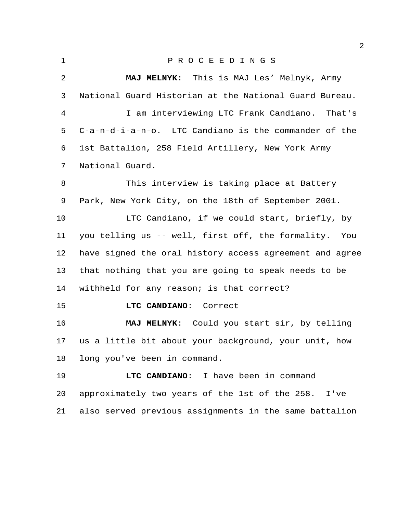| ٠ |
|---|
|   |
|   |

# P R O C E E D I N G S

 **MAJ MELNYK**: This is MAJ Les' Melnyk, Army National Guard Historian at the National Guard Bureau. I am interviewing LTC Frank Candiano. That's C-a-n-d-i-a-n-o. LTC Candiano is the commander of the 1st Battalion, 258 Field Artillery, New York Army National Guard. This interview is taking place at Battery Park, New York City, on the 18th of September 2001. LTC Candiano, if we could start, briefly, by you telling us -- well, first off, the formality. You have signed the oral history access agreement and agree that nothing that you are going to speak needs to be withheld for any reason; is that correct? **LTC CANDIANO**: Correct **MAJ MELNYK**: Could you start sir, by telling us a little bit about your background, your unit, how long you've been in command. **LTC CANDIANO**: I have been in command approximately two years of the 1st of the 258. I've

also served previous assignments in the same battalion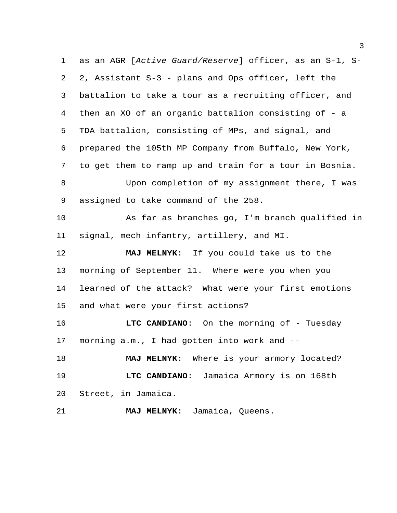as an AGR [*Active Guard/Reserve*] officer, as an S-1, S- 2, Assistant S-3 - plans and Ops officer, left the battalion to take a tour as a recruiting officer, and then an XO of an organic battalion consisting of - a TDA battalion, consisting of MPs, and signal, and prepared the 105th MP Company from Buffalo, New York, to get them to ramp up and train for a tour in Bosnia. Upon completion of my assignment there, I was assigned to take command of the 258. As far as branches go, I'm branch qualified in signal, mech infantry, artillery, and MI. **MAJ MELNYK**: If you could take us to the morning of September 11. Where were you when you learned of the attack? What were your first emotions and what were your first actions? **LTC CANDIANO:** On the morning of - Tuesday morning a.m., I had gotten into work and -- **MAJ MELNYK**: Where is your armory located? **LTC CANDIANO**: Jamaica Armory is on 168th Street, in Jamaica. **MAJ MELNYK**: Jamaica, Queens.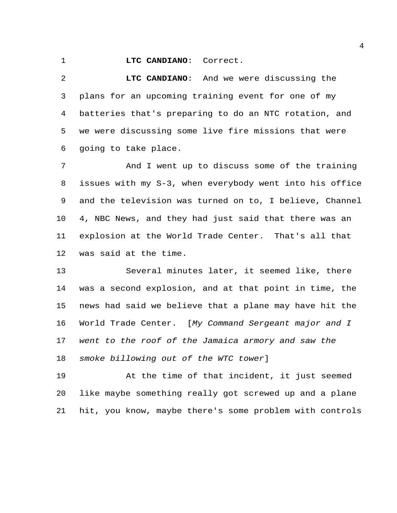#### **LTC CANDIANO**: Correct.

 **LTC CANDIANO**: And we were discussing the plans for an upcoming training event for one of my batteries that's preparing to do an NTC rotation, and we were discussing some live fire missions that were going to take place.

 And I went up to discuss some of the training issues with my S-3, when everybody went into his office and the television was turned on to, I believe, Channel 4, NBC News, and they had just said that there was an explosion at the World Trade Center. That's all that was said at the time.

 Several minutes later, it seemed like, there was a second explosion, and at that point in time, the news had said we believe that a plane may have hit the World Trade Center. [*My Command Sergeant major and I went to the roof of the Jamaica armory and saw the smoke billowing out of the WTC tower*]

 At the time of that incident, it just seemed like maybe something really got screwed up and a plane hit, you know, maybe there's some problem with controls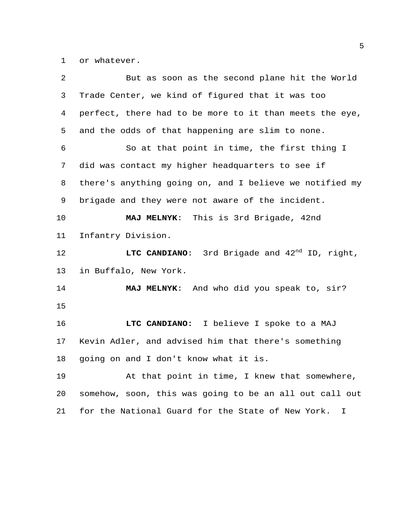or whatever.

| 2  | But as soon as the second plane hit the World           |
|----|---------------------------------------------------------|
| 3  | Trade Center, we kind of figured that it was too        |
| 4  | perfect, there had to be more to it than meets the eye, |
| 5  | and the odds of that happening are slim to none.        |
| 6  | So at that point in time, the first thing I             |
| 7  | did was contact my higher headquarters to see if        |
| 8  | there's anything going on, and I believe we notified my |
| 9  | brigade and they were not aware of the incident.        |
| 10 | MAJ MELNYK: This is 3rd Brigade, 42nd                   |
| 11 | Infantry Division.                                      |
| 12 | LTC CANDIANO: 3rd Brigade and $42^{nd}$ ID, right,      |
| 13 | in Buffalo, New York.                                   |
| 14 | MAJ MELNYK: And who did you speak to, sir?              |
| 15 |                                                         |
| 16 | LTC CANDIANO: I believe I spoke to a MAJ                |
| 17 | Kevin Adler, and advised him that there's something     |
| 18 | going on and I don't know what it is.                   |
| 19 | At that point in time, I knew that somewhere,           |
| 20 | somehow, soon, this was going to be an all out call out |
| 21 | for the National Guard for the State of New York.<br>I  |
|    |                                                         |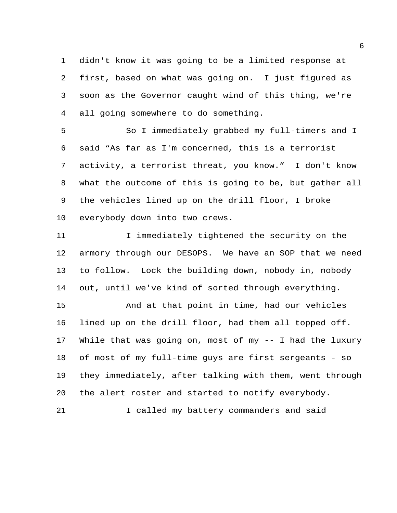didn't know it was going to be a limited response at first, based on what was going on. I just figured as soon as the Governor caught wind of this thing, we're all going somewhere to do something.

 So I immediately grabbed my full-timers and I said "As far as I'm concerned, this is a terrorist activity, a terrorist threat, you know." I don't know what the outcome of this is going to be, but gather all the vehicles lined up on the drill floor, I broke everybody down into two crews.

 I immediately tightened the security on the armory through our DESOPS. We have an SOP that we need to follow. Lock the building down, nobody in, nobody out, until we've kind of sorted through everything.

15 And at that point in time, had our vehicles lined up on the drill floor, had them all topped off. While that was going on, most of my -- I had the luxury of most of my full-time guys are first sergeants - so they immediately, after talking with them, went through the alert roster and started to notify everybody.

I called my battery commanders and said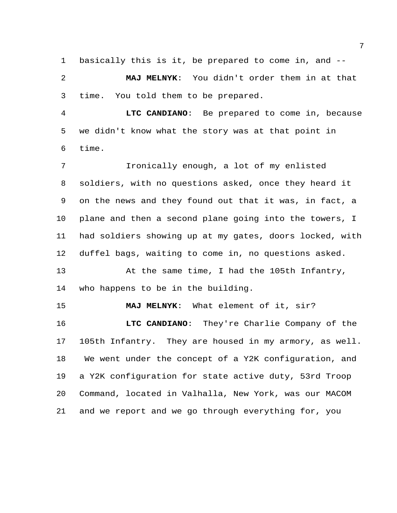basically this is it, be prepared to come in, and --

 **MAJ MELNYK**: You didn't order them in at that time. You told them to be prepared.

 **LTC CANDIANO**: Be prepared to come in, because we didn't know what the story was at that point in time.

 Ironically enough, a lot of my enlisted soldiers, with no questions asked, once they heard it on the news and they found out that it was, in fact, a plane and then a second plane going into the towers, I had soldiers showing up at my gates, doors locked, with duffel bags, waiting to come in, no questions asked.

 At the same time, I had the 105th Infantry, who happens to be in the building.

**MAJ MELNYK**: What element of it, sir?

 **LTC CANDIANO**: They're Charlie Company of the 105th Infantry. They are housed in my armory, as well. We went under the concept of a Y2K configuration, and a Y2K configuration for state active duty, 53rd Troop Command, located in Valhalla, New York, was our MACOM and we report and we go through everything for, you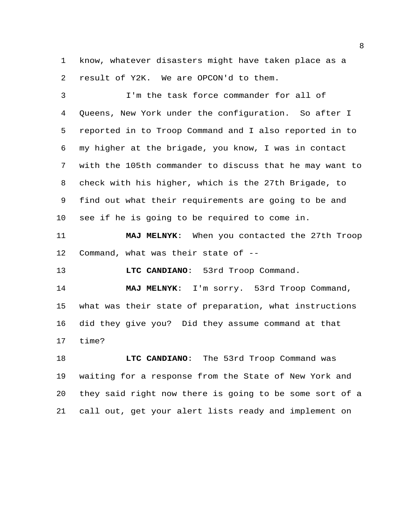know, whatever disasters might have taken place as a result of Y2K. We are OPCON'd to them.

 I'm the task force commander for all of Queens, New York under the configuration. So after I reported in to Troop Command and I also reported in to my higher at the brigade, you know, I was in contact with the 105th commander to discuss that he may want to check with his higher, which is the 27th Brigade, to find out what their requirements are going to be and see if he is going to be required to come in.

 **MAJ MELNYK**: When you contacted the 27th Troop Command, what was their state of --

**LTC CANDIANO**: 53rd Troop Command.

 **MAJ MELNYK**: I'm sorry. 53rd Troop Command, what was their state of preparation, what instructions did they give you? Did they assume command at that time?

 **LTC CANDIANO**: The 53rd Troop Command was waiting for a response from the State of New York and they said right now there is going to be some sort of a call out, get your alert lists ready and implement on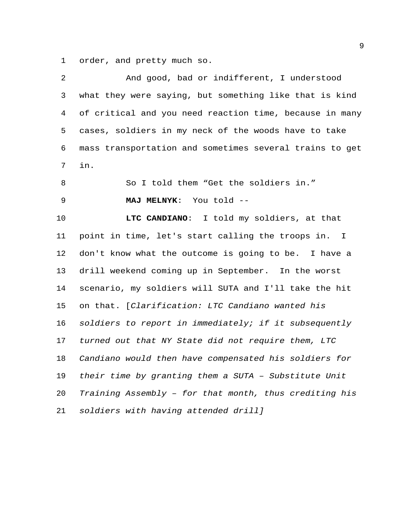order, and pretty much so.

| 2  | And good, bad or indifferent, I understood              |
|----|---------------------------------------------------------|
| 3  | what they were saying, but something like that is kind  |
| 4  | of critical and you need reaction time, because in many |
| 5  | cases, soldiers in my neck of the woods have to take    |
| 6  | mass transportation and sometimes several trains to get |
| 7  | in.                                                     |
| 8  | So I told them "Get the soldiers in."                   |
| 9  | MAJ MELNYK: You told --                                 |
| 10 | LTC CANDIANO: I told my soldiers, at that               |
| 11 | point in time, let's start calling the troops in. I     |
| 12 | don't know what the outcome is going to be. I have a    |
| 13 | drill weekend coming up in September. In the worst      |
| 14 | scenario, my soldiers will SUTA and I'll take the hit   |
| 15 | on that. [Clarification: LTC Candiano wanted his        |
| 16 | soldiers to report in immediately; if it subsequently   |
| 17 | turned out that NY State did not require them, LTC      |
| 18 | Candiano would then have compensated his soldiers for   |
| 19 | their time by granting them a SUTA - Substitute Unit    |
| 20 | Training Assembly - for that month, thus crediting his  |
| 21 | soldiers with having attended drill]                    |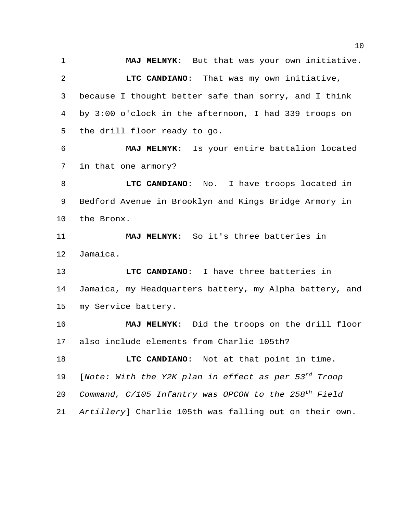**MAJ MELNYK**: But that was your own initiative. **LTC CANDIANO**: That was my own initiative, because I thought better safe than sorry, and I think by 3:00 o'clock in the afternoon, I had 339 troops on the drill floor ready to go.

 **MAJ MELNYK**: Is your entire battalion located in that one armory?

 **LTC CANDIANO**: No. I have troops located in Bedford Avenue in Brooklyn and Kings Bridge Armory in the Bronx.

 **MAJ MELNYK**: So it's three batteries in Jamaica.

 **LTC CANDIANO**: I have three batteries in Jamaica, my Headquarters battery, my Alpha battery, and my Service battery.

 **MAJ MELNYK**: Did the troops on the drill floor also include elements from Charlie 105th?

**LTC CANDIANO:** Not at that point in time. 19 [*Note: With the Y2K plan in effect as per 53<sup>rd</sup> Troop* 20 Command, C/105 Infantry was OPCON to the 258<sup>th</sup> Field *Artillery*] Charlie 105th was falling out on their own.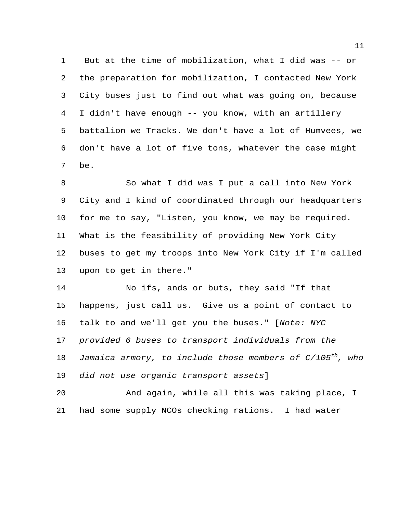But at the time of mobilization, what I did was -- or the preparation for mobilization, I contacted New York City buses just to find out what was going on, because I didn't have enough -- you know, with an artillery battalion we Tracks. We don't have a lot of Humvees, we don't have a lot of five tons, whatever the case might be.

 So what I did was I put a call into New York City and I kind of coordinated through our headquarters for me to say, "Listen, you know, we may be required. What is the feasibility of providing New York City buses to get my troops into New York City if I'm called upon to get in there."

 No ifs, ands or buts, they said "If that happens, just call us. Give us a point of contact to talk to and we'll get you the buses." [*Note: NYC provided 6 buses to transport individuals from the Jamaica armory, to include those members of C/105<sup>th</sup>, who did not use organic transport assets*]

 And again, while all this was taking place, I had some supply NCOs checking rations. I had water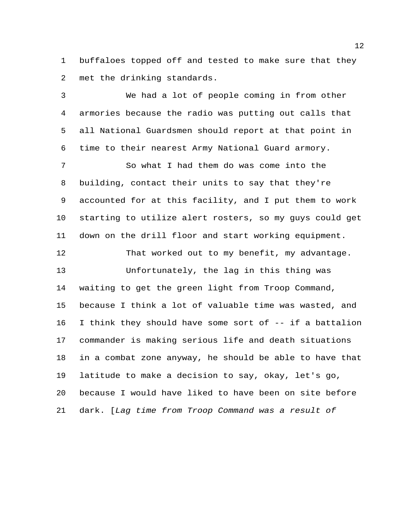buffaloes topped off and tested to make sure that they met the drinking standards.

 We had a lot of people coming in from other armories because the radio was putting out calls that all National Guardsmen should report at that point in time to their nearest Army National Guard armory.

 So what I had them do was come into the building, contact their units to say that they're accounted for at this facility, and I put them to work starting to utilize alert rosters, so my guys could get down on the drill floor and start working equipment.

 That worked out to my benefit, my advantage. Unfortunately, the lag in this thing was waiting to get the green light from Troop Command, because I think a lot of valuable time was wasted, and I think they should have some sort of -- if a battalion commander is making serious life and death situations in a combat zone anyway, he should be able to have that latitude to make a decision to say, okay, let's go, because I would have liked to have been on site before dark. [*Lag time from Troop Command was a result of*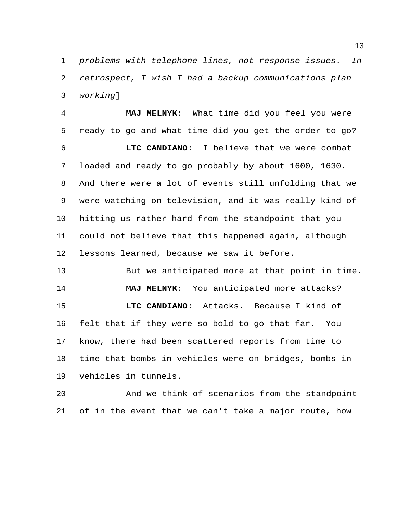*problems with telephone lines, not response issues. In retrospect, I wish I had a backup communications plan working*]

 **MAJ MELNYK**: What time did you feel you were ready to go and what time did you get the order to go? **LTC CANDIANO**: I believe that we were combat loaded and ready to go probably by about 1600, 1630. And there were a lot of events still unfolding that we were watching on television, and it was really kind of hitting us rather hard from the standpoint that you could not believe that this happened again, although lessons learned, because we saw it before.

 But we anticipated more at that point in time. **MAJ MELNYK**: You anticipated more attacks? **LTC CANDIANO**: Attacks. Because I kind of felt that if they were so bold to go that far. You know, there had been scattered reports from time to time that bombs in vehicles were on bridges, bombs in vehicles in tunnels.

 And we think of scenarios from the standpoint of in the event that we can't take a major route, how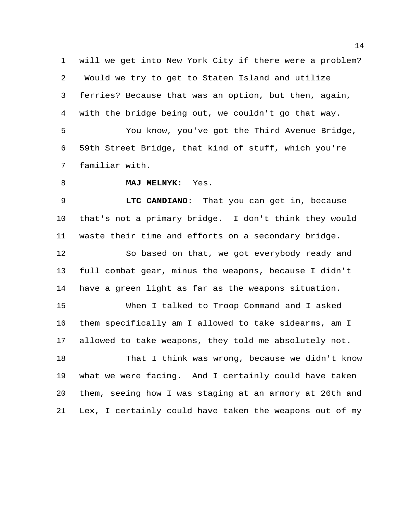will we get into New York City if there were a problem? Would we try to get to Staten Island and utilize ferries? Because that was an option, but then, again, with the bridge being out, we couldn't go that way.

 You know, you've got the Third Avenue Bridge, 59th Street Bridge, that kind of stuff, which you're familiar with.

#### **MAJ MELNYK**: Yes.

 **LTC CANDIANO**: That you can get in, because that's not a primary bridge. I don't think they would waste their time and efforts on a secondary bridge.

 So based on that, we got everybody ready and full combat gear, minus the weapons, because I didn't have a green light as far as the weapons situation.

 When I talked to Troop Command and I asked them specifically am I allowed to take sidearms, am I allowed to take weapons, they told me absolutely not.

 That I think was wrong, because we didn't know what we were facing. And I certainly could have taken them, seeing how I was staging at an armory at 26th and Lex, I certainly could have taken the weapons out of my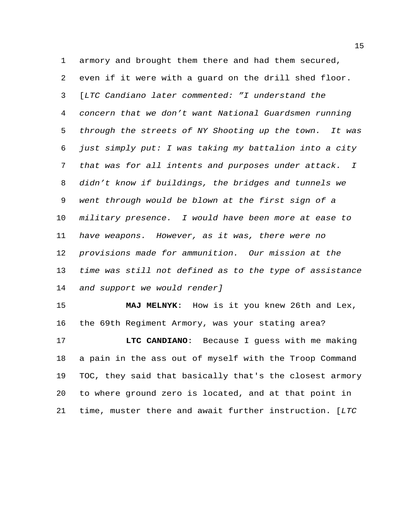armory and brought them there and had them secured, even if it were with a guard on the drill shed floor. [*LTC Candiano later commented: "I understand the concern that we don't want National Guardsmen running through the streets of NY Shooting up the town. It was just simply put: I was taking my battalion into a city that was for all intents and purposes under attack. I didn't know if buildings, the bridges and tunnels we went through would be blown at the first sign of a military presence. I would have been more at ease to have weapons. However, as it was, there were no provisions made for ammunition. Our mission at the time was still not defined as to the type of assistance and support we would render]*

 **MAJ MELNYK**: How is it you knew 26th and Lex, the 69th Regiment Armory, was your stating area?

 **LTC CANDIANO**: Because I guess with me making a pain in the ass out of myself with the Troop Command TOC, they said that basically that's the closest armory to where ground zero is located, and at that point in time, muster there and await further instruction. [*LTC*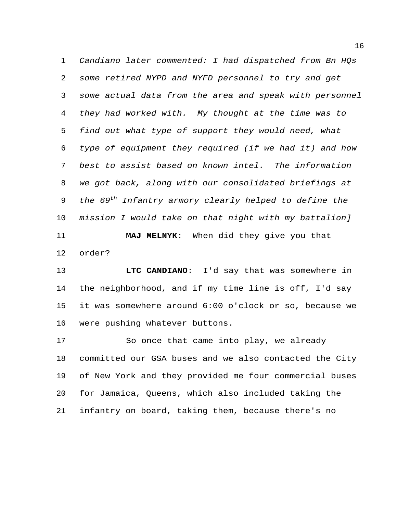*Candiano later commented: I had dispatched from Bn HQs some retired NYPD and NYFD personnel to try and get some actual data from the area and speak with personnel they had worked with. My thought at the time was to find out what type of support they would need, what type of equipment they required (if we had it) and how best to assist based on known intel. The information we got back, along with our consolidated briefings at the 69th Infantry armory clearly helped to define the mission I would take on that night with my battalion]* **MAJ MELNYK**: When did they give you that order?

 **LTC CANDIANO**: I'd say that was somewhere in the neighborhood, and if my time line is off, I'd say it was somewhere around 6:00 o'clock or so, because we were pushing whatever buttons.

 So once that came into play, we already committed our GSA buses and we also contacted the City of New York and they provided me four commercial buses for Jamaica, Queens, which also included taking the infantry on board, taking them, because there's no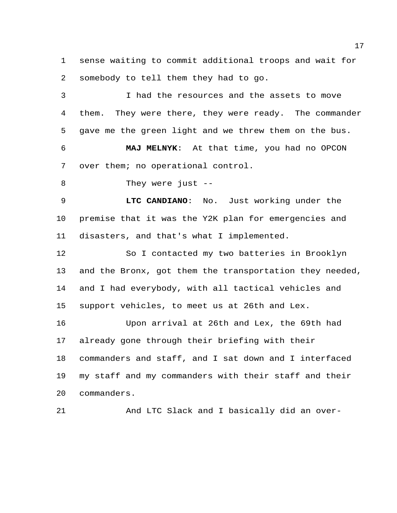sense waiting to commit additional troops and wait for somebody to tell them they had to go.

 I had the resources and the assets to move them. They were there, they were ready. The commander gave me the green light and we threw them on the bus. **MAJ MELNYK**: At that time, you had no OPCON

over them; no operational control.

They were just --

 **LTC CANDIANO**: No. Just working under the premise that it was the Y2K plan for emergencies and disasters, and that's what I implemented.

 So I contacted my two batteries in Brooklyn and the Bronx, got them the transportation they needed, and I had everybody, with all tactical vehicles and support vehicles, to meet us at 26th and Lex.

 Upon arrival at 26th and Lex, the 69th had already gone through their briefing with their commanders and staff, and I sat down and I interfaced my staff and my commanders with their staff and their commanders.

And LTC Slack and I basically did an over-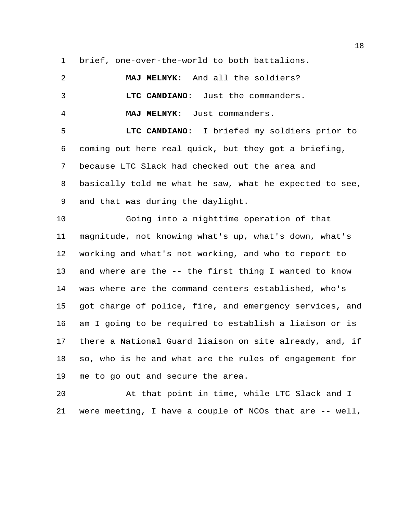brief, one-over-the-world to both battalions.

| 2               | MAJ MELNYK: And all the soldiers?                       |
|-----------------|---------------------------------------------------------|
| 3               | LTC CANDIANO: Just the commanders.                      |
| $\overline{4}$  | MAJ MELNYK: Just commanders.                            |
| 5               | LTC CANDIANO: I briefed my soldiers prior to            |
|                 | 6 coming out here real quick, but they got a briefing,  |
| $7\overline{ }$ | because LTC Slack had checked out the area and          |
| 8               | basically told me what he saw, what he expected to see, |

and that was during the daylight.

 Going into a nighttime operation of that magnitude, not knowing what's up, what's down, what's working and what's not working, and who to report to and where are the -- the first thing I wanted to know was where are the command centers established, who's got charge of police, fire, and emergency services, and am I going to be required to establish a liaison or is there a National Guard liaison on site already, and, if so, who is he and what are the rules of engagement for me to go out and secure the area.

 At that point in time, while LTC Slack and I were meeting, I have a couple of NCOs that are -- well,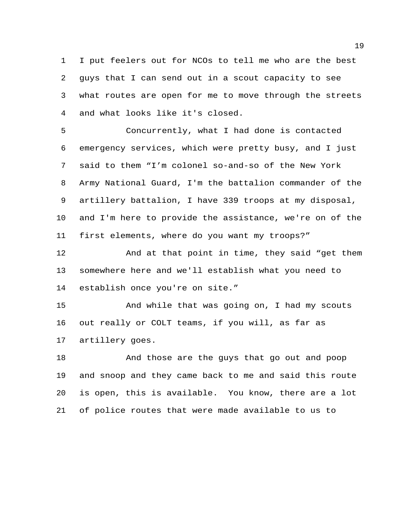I put feelers out for NCOs to tell me who are the best guys that I can send out in a scout capacity to see what routes are open for me to move through the streets and what looks like it's closed.

 Concurrently, what I had done is contacted emergency services, which were pretty busy, and I just said to them "I'm colonel so-and-so of the New York Army National Guard, I'm the battalion commander of the artillery battalion, I have 339 troops at my disposal, and I'm here to provide the assistance, we're on of the first elements, where do you want my troops?"

 And at that point in time, they said "get them somewhere here and we'll establish what you need to establish once you're on site."

 And while that was going on, I had my scouts out really or COLT teams, if you will, as far as artillery goes.

 And those are the guys that go out and poop and snoop and they came back to me and said this route is open, this is available. You know, there are a lot of police routes that were made available to us to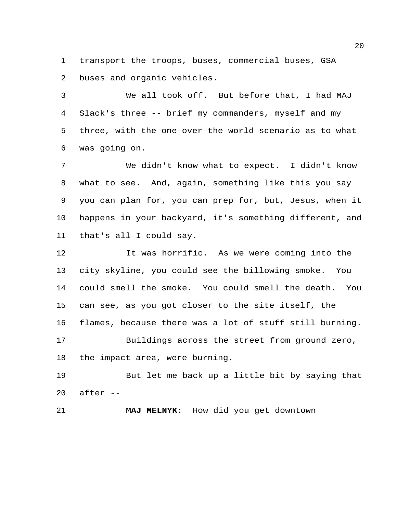transport the troops, buses, commercial buses, GSA buses and organic vehicles.

 We all took off. But before that, I had MAJ Slack's three -- brief my commanders, myself and my three, with the one-over-the-world scenario as to what was going on.

 We didn't know what to expect. I didn't know what to see. And, again, something like this you say you can plan for, you can prep for, but, Jesus, when it happens in your backyard, it's something different, and that's all I could say.

 It was horrific. As we were coming into the city skyline, you could see the billowing smoke. You could smell the smoke. You could smell the death. You can see, as you got closer to the site itself, the flames, because there was a lot of stuff still burning. Buildings across the street from ground zero, the impact area, were burning.

 But let me back up a little bit by saying that after --

**MAJ MELNYK**: How did you get downtown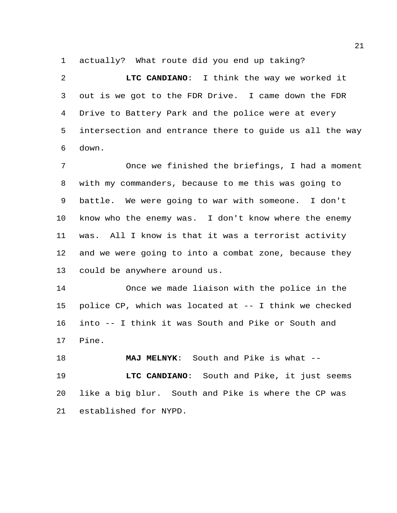actually? What route did you end up taking?

 **LTC CANDIANO**: I think the way we worked it out is we got to the FDR Drive. I came down the FDR Drive to Battery Park and the police were at every intersection and entrance there to guide us all the way down.

 Once we finished the briefings, I had a moment with my commanders, because to me this was going to battle. We were going to war with someone. I don't know who the enemy was. I don't know where the enemy was. All I know is that it was a terrorist activity and we were going to into a combat zone, because they could be anywhere around us.

 Once we made liaison with the police in the police CP, which was located at -- I think we checked into -- I think it was South and Pike or South and Pine.

 **MAJ MELNYK**: South and Pike is what -- **LTC CANDIANO**: South and Pike, it just seems like a big blur. South and Pike is where the CP was established for NYPD.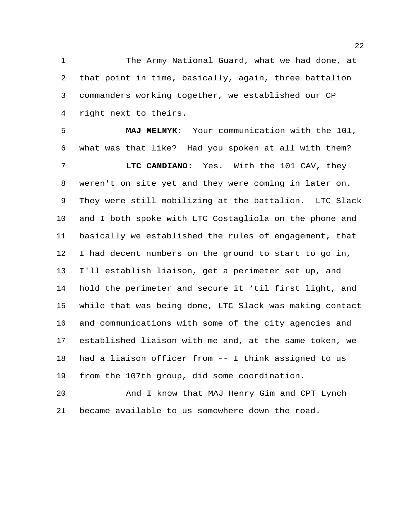The Army National Guard, what we had done, at that point in time, basically, again, three battalion commanders working together, we established our CP right next to theirs.

 **MAJ MELNYK**: Your communication with the 101, what was that like? Had you spoken at all with them? **LTC CANDIANO**: Yes. With the 101 CAV, they weren't on site yet and they were coming in later on. They were still mobilizing at the battalion. LTC Slack and I both spoke with LTC Costagliola on the phone and basically we established the rules of engagement, that I had decent numbers on the ground to start to go in, I'll establish liaison, get a perimeter set up, and hold the perimeter and secure it 'til first light, and while that was being done, LTC Slack was making contact and communications with some of the city agencies and established liaison with me and, at the same token, we had a liaison officer from -- I think assigned to us from the 107th group, did some coordination.

 And I know that MAJ Henry Gim and CPT Lynch became available to us somewhere down the road.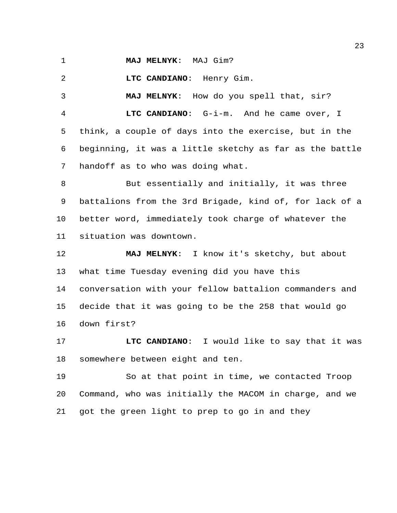**MAJ MELNYK**: MAJ Gim?

**LTC CANDIANO**: Henry Gim.

 **MAJ MELNYK**: How do you spell that, sir? **LTC CANDIANO**: G-i-m. And he came over, I think, a couple of days into the exercise, but in the beginning, it was a little sketchy as far as the battle handoff as to who was doing what.

 But essentially and initially, it was three battalions from the 3rd Brigade, kind of, for lack of a better word, immediately took charge of whatever the situation was downtown.

 **MAJ MELNYK**: I know it's sketchy, but about what time Tuesday evening did you have this conversation with your fellow battalion commanders and decide that it was going to be the 258 that would go down first?

 **LTC CANDIANO**: I would like to say that it was somewhere between eight and ten.

 So at that point in time, we contacted Troop Command, who was initially the MACOM in charge, and we got the green light to prep to go in and they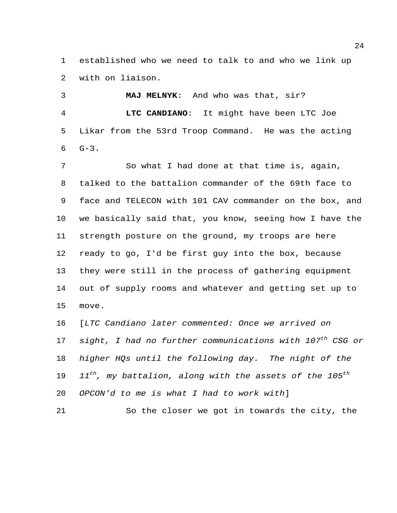established who we need to talk to and who we link up with on liaison.

 **MAJ MELNYK**: And who was that, sir? **LTC CANDIANO**: It might have been LTC Joe Likar from the 53rd Troop Command. He was the acting  $G-3$ .

7 So what I had done at that time is, again, talked to the battalion commander of the 69th face to face and TELECON with 101 CAV commander on the box, and we basically said that, you know, seeing how I have the strength posture on the ground, my troops are here ready to go, I'd be first guy into the box, because they were still in the process of gathering equipment out of supply rooms and whatever and getting set up to move.

 [*LTC Candiano later commented: Once we arrived on*  17 sight, I had no further communications with 107<sup>th</sup> CSG or *higher HQs until the following day. The night of the*  19 11<sup>th</sup>, my battalion, along with the assets of the 105<sup>th</sup> *OPCON'd to me is what I had to work with*]

So the closer we got in towards the city, the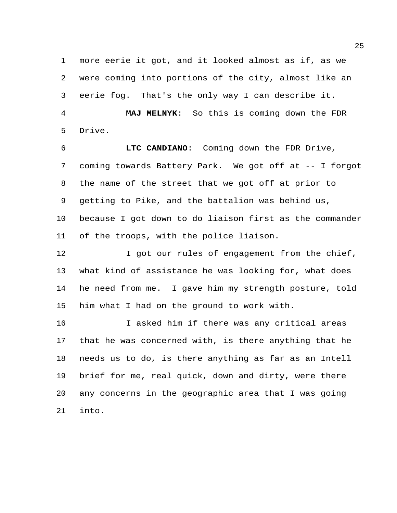more eerie it got, and it looked almost as if, as we were coming into portions of the city, almost like an eerie fog. That's the only way I can describe it. **MAJ MELNYK**: So this is coming down the FDR

Drive.

 **LTC CANDIANO**: Coming down the FDR Drive, coming towards Battery Park. We got off at -- I forgot the name of the street that we got off at prior to getting to Pike, and the battalion was behind us, because I got down to do liaison first as the commander of the troops, with the police liaison.

12 I got our rules of engagement from the chief, what kind of assistance he was looking for, what does he need from me. I gave him my strength posture, told him what I had on the ground to work with.

 I asked him if there was any critical areas that he was concerned with, is there anything that he needs us to do, is there anything as far as an Intell brief for me, real quick, down and dirty, were there any concerns in the geographic area that I was going into.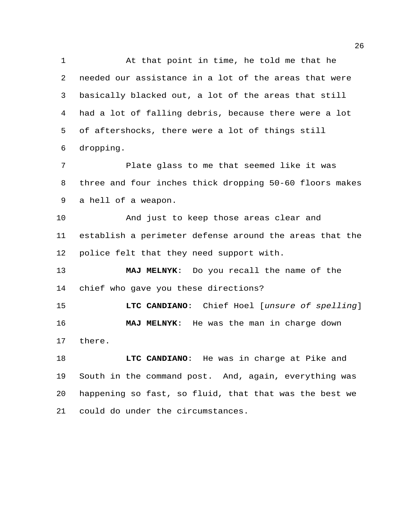At that point in time, he told me that he needed our assistance in a lot of the areas that were basically blacked out, a lot of the areas that still had a lot of falling debris, because there were a lot of aftershocks, there were a lot of things still dropping.

 Plate glass to me that seemed like it was three and four inches thick dropping 50-60 floors makes a hell of a weapon.

 And just to keep those areas clear and establish a perimeter defense around the areas that the police felt that they need support with.

 **MAJ MELNYK**: Do you recall the name of the chief who gave you these directions?

 **LTC CANDIANO**: Chief Hoel [*unsure of spelling*] **MAJ MELNYK**: He was the man in charge down there.

 **LTC CANDIANO**: He was in charge at Pike and South in the command post. And, again, everything was happening so fast, so fluid, that that was the best we could do under the circumstances.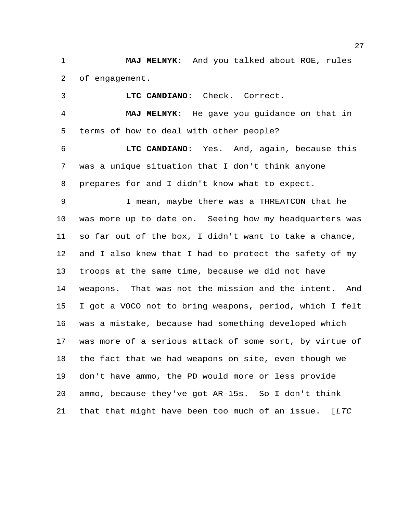**MAJ MELNYK**: And you talked about ROE, rules of engagement.

**LTC CANDIANO**: Check. Correct.

 **MAJ MELNYK**: He gave you guidance on that in terms of how to deal with other people?

 **LTC CANDIANO**: Yes. And, again, because this was a unique situation that I don't think anyone prepares for and I didn't know what to expect.

 I mean, maybe there was a THREATCON that he was more up to date on. Seeing how my headquarters was so far out of the box, I didn't want to take a chance, and I also knew that I had to protect the safety of my troops at the same time, because we did not have weapons. That was not the mission and the intent. And I got a VOCO not to bring weapons, period, which I felt was a mistake, because had something developed which was more of a serious attack of some sort, by virtue of the fact that we had weapons on site, even though we don't have ammo, the PD would more or less provide ammo, because they've got AR-15s. So I don't think that that might have been too much of an issue. [*LTC*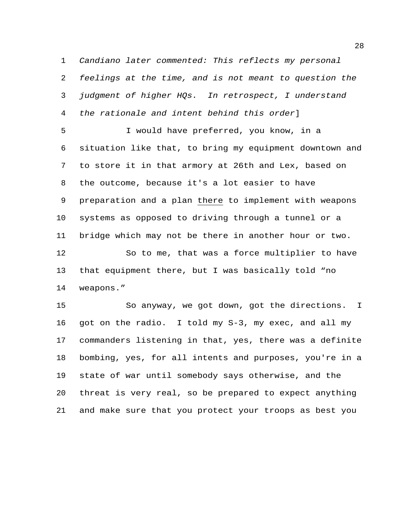*Candiano later commented: This reflects my personal feelings at the time, and is not meant to question the judgment of higher HQs. In retrospect, I understand the rationale and intent behind this order*]

 I would have preferred, you know, in a situation like that, to bring my equipment downtown and to store it in that armory at 26th and Lex, based on the outcome, because it's a lot easier to have preparation and a plan there to implement with weapons systems as opposed to driving through a tunnel or a bridge which may not be there in another hour or two.

 So to me, that was a force multiplier to have that equipment there, but I was basically told "no weapons."

 So anyway, we got down, got the directions. I got on the radio. I told my S-3, my exec, and all my commanders listening in that, yes, there was a definite bombing, yes, for all intents and purposes, you're in a state of war until somebody says otherwise, and the threat is very real, so be prepared to expect anything and make sure that you protect your troops as best you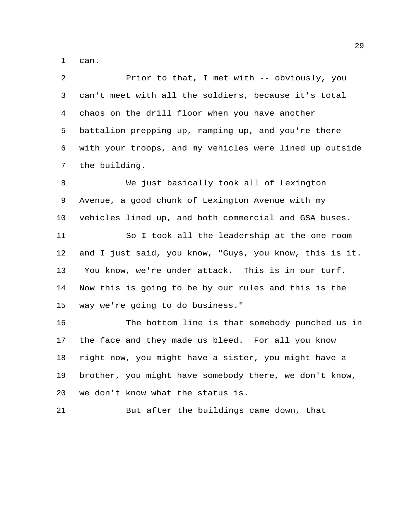can.

 Prior to that, I met with -- obviously, you can't meet with all the soldiers, because it's total chaos on the drill floor when you have another battalion prepping up, ramping up, and you're there with your troops, and my vehicles were lined up outside the building. We just basically took all of Lexington Avenue, a good chunk of Lexington Avenue with my vehicles lined up, and both commercial and GSA buses. So I took all the leadership at the one room and I just said, you know, "Guys, you know, this is it. You know, we're under attack. This is in our turf.

 Now this is going to be by our rules and this is the way we're going to do business."

 The bottom line is that somebody punched us in the face and they made us bleed. For all you know right now, you might have a sister, you might have a brother, you might have somebody there, we don't know, we don't know what the status is.

But after the buildings came down, that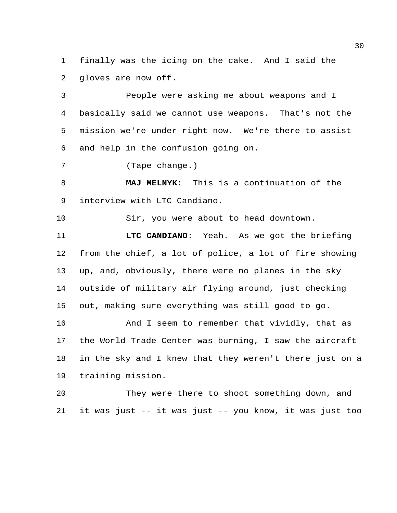finally was the icing on the cake. And I said the gloves are now off.

 People were asking me about weapons and I basically said we cannot use weapons. That's not the mission we're under right now. We're there to assist and help in the confusion going on.

(Tape change.)

 **MAJ MELNYK**: This is a continuation of the interview with LTC Candiano.

Sir, you were about to head downtown.

 **LTC CANDIANO**: Yeah. As we got the briefing from the chief, a lot of police, a lot of fire showing up, and, obviously, there were no planes in the sky outside of military air flying around, just checking out, making sure everything was still good to go.

 And I seem to remember that vividly, that as the World Trade Center was burning, I saw the aircraft in the sky and I knew that they weren't there just on a training mission.

 They were there to shoot something down, and it was just -- it was just -- you know, it was just too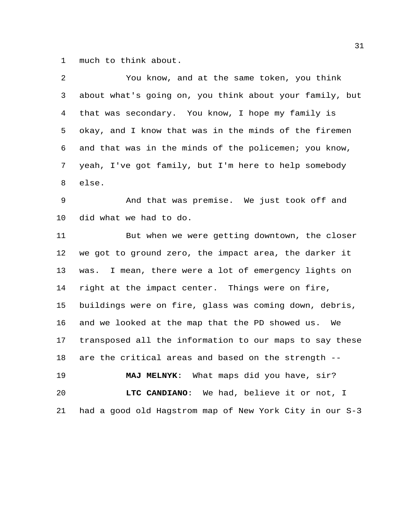much to think about.

| 2  | You know, and at the same token, you think              |
|----|---------------------------------------------------------|
| 3  | about what's going on, you think about your family, but |
| 4  | that was secondary. You know, I hope my family is       |
| 5  | okay, and I know that was in the minds of the firemen   |
| 6  | and that was in the minds of the policemen; you know,   |
| 7  | yeah, I've got family, but I'm here to help somebody    |
| 8  | else.                                                   |
| 9  | And that was premise. We just took off and              |
| 10 | did what we had to do.                                  |
| 11 | But when we were getting downtown, the closer           |
| 12 | we got to ground zero, the impact area, the darker it   |
| 13 | was. I mean, there were a lot of emergency lights on    |
| 14 | right at the impact center. Things were on fire,        |
| 15 | buildings were on fire, glass was coming down, debris,  |
| 16 | and we looked at the map that the PD showed us. We      |
| 17 | transposed all the information to our maps to say these |
| 18 | are the critical areas and based on the strength --     |
| 19 | MAJ MELNYK: What maps did you have, sir?                |
| 20 | LTC CANDIANO: We had, believe it or not, I              |
| 21 | had a good old Hagstrom map of New York City in our S-3 |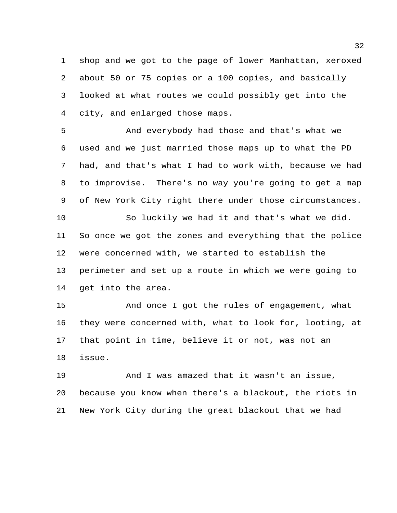shop and we got to the page of lower Manhattan, xeroxed about 50 or 75 copies or a 100 copies, and basically looked at what routes we could possibly get into the city, and enlarged those maps.

 And everybody had those and that's what we used and we just married those maps up to what the PD had, and that's what I had to work with, because we had to improvise. There's no way you're going to get a map of New York City right there under those circumstances.

 So luckily we had it and that's what we did. So once we got the zones and everything that the police were concerned with, we started to establish the perimeter and set up a route in which we were going to get into the area.

 And once I got the rules of engagement, what they were concerned with, what to look for, looting, at that point in time, believe it or not, was not an issue.

 And I was amazed that it wasn't an issue, because you know when there's a blackout, the riots in New York City during the great blackout that we had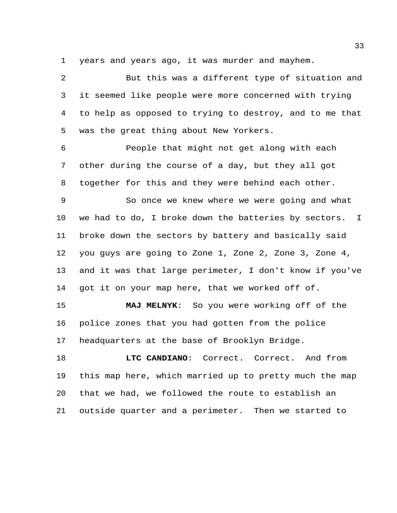years and years ago, it was murder and mayhem.

 But this was a different type of situation and it seemed like people were more concerned with trying to help as opposed to trying to destroy, and to me that was the great thing about New Yorkers.

 People that might not get along with each other during the course of a day, but they all got together for this and they were behind each other.

 So once we knew where we were going and what we had to do, I broke down the batteries by sectors. I broke down the sectors by battery and basically said you guys are going to Zone 1, Zone 2, Zone 3, Zone 4, and it was that large perimeter, I don't know if you've got it on your map here, that we worked off of.

 **MAJ MELNYK**: So you were working off of the police zones that you had gotten from the police headquarters at the base of Brooklyn Bridge.

 **LTC CANDIANO**: Correct. Correct. And from this map here, which married up to pretty much the map that we had, we followed the route to establish an outside quarter and a perimeter. Then we started to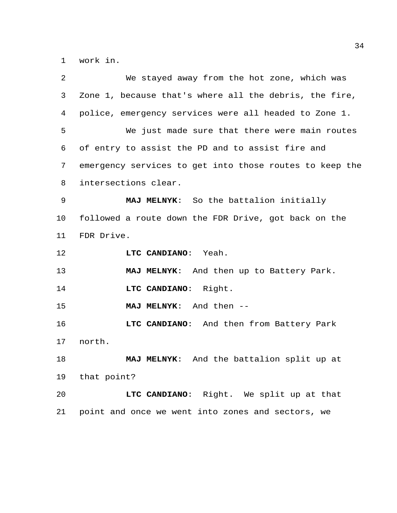work in.

| 2  | We stayed away from the hot zone, which was             |
|----|---------------------------------------------------------|
| 3  | Zone 1, because that's where all the debris, the fire,  |
| 4  | police, emergency services were all headed to Zone 1.   |
| 5  | We just made sure that there were main routes           |
| 6  | of entry to assist the PD and to assist fire and        |
| 7  | emergency services to get into those routes to keep the |
| 8  | intersections clear.                                    |
| 9  | MAJ MELNYK: So the battalion initially                  |
| 10 | followed a route down the FDR Drive, got back on the    |
| 11 | FDR Drive.                                              |
| 12 | LTC CANDIANO: Yeah.                                     |
| 13 | MAJ MELNYK: And then up to Battery Park.                |
| 14 | LTC CANDIANO: Right.                                    |
| 15 | MAJ MELNYK: And then --                                 |
| 16 | LTC CANDIANO: And then from Battery Park                |
| 17 | north.                                                  |
| 18 | MAJ MELNYK: And the battalion split up at               |
| 19 | that point?                                             |
| 20 | LTC CANDIANO: Right. We split up at that                |
| 21 | point and once we went into zones and sectors, we       |
|    |                                                         |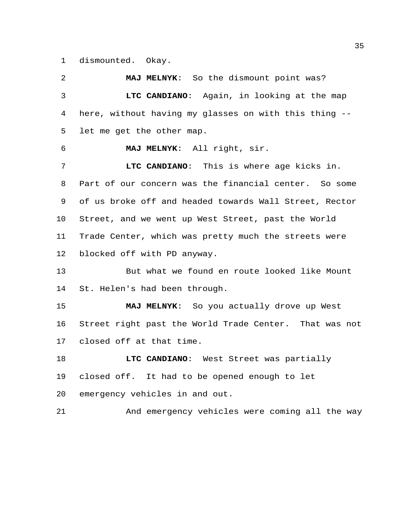dismounted. Okay.

 **MAJ MELNYK**: So the dismount point was? **LTC CANDIANO**: Again, in looking at the map here, without having my glasses on with this thing -- let me get the other map. **MAJ MELNYK**: All right, sir. **LTC CANDIANO**: This is where age kicks in. Part of our concern was the financial center. So some of us broke off and headed towards Wall Street, Rector Street, and we went up West Street, past the World Trade Center, which was pretty much the streets were blocked off with PD anyway. But what we found en route looked like Mount St. Helen's had been through. **MAJ MELNYK**: So you actually drove up West Street right past the World Trade Center. That was not closed off at that time. **LTC CANDIANO**: West Street was partially closed off. It had to be opened enough to let emergency vehicles in and out. And emergency vehicles were coming all the way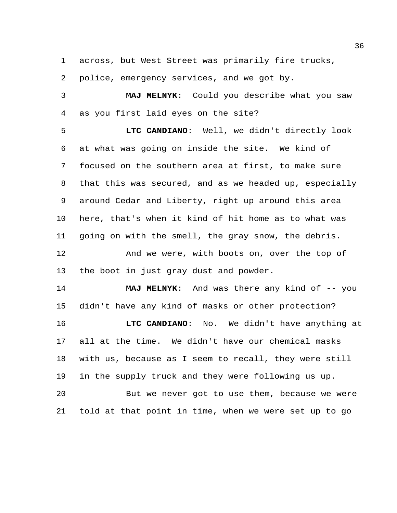across, but West Street was primarily fire trucks,

police, emergency services, and we got by.

 **MAJ MELNYK**: Could you describe what you saw as you first laid eyes on the site?

 **LTC CANDIANO**: Well, we didn't directly look at what was going on inside the site. We kind of focused on the southern area at first, to make sure that this was secured, and as we headed up, especially around Cedar and Liberty, right up around this area here, that's when it kind of hit home as to what was going on with the smell, the gray snow, the debris. And we were, with boots on, over the top of the boot in just gray dust and powder.

**MAJ MELNYK:** And was there any kind of -- you didn't have any kind of masks or other protection?

 **LTC CANDIANO**: No. We didn't have anything at all at the time. We didn't have our chemical masks with us, because as I seem to recall, they were still in the supply truck and they were following us up.

 But we never got to use them, because we were told at that point in time, when we were set up to go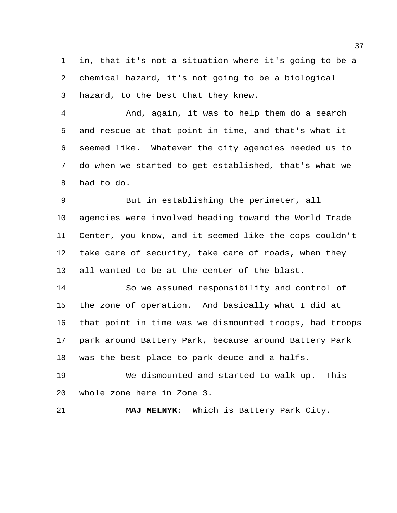in, that it's not a situation where it's going to be a chemical hazard, it's not going to be a biological hazard, to the best that they knew.

 And, again, it was to help them do a search and rescue at that point in time, and that's what it seemed like. Whatever the city agencies needed us to do when we started to get established, that's what we had to do.

 But in establishing the perimeter, all agencies were involved heading toward the World Trade Center, you know, and it seemed like the cops couldn't take care of security, take care of roads, when they all wanted to be at the center of the blast.

 So we assumed responsibility and control of the zone of operation. And basically what I did at that point in time was we dismounted troops, had troops park around Battery Park, because around Battery Park was the best place to park deuce and a halfs.

 We dismounted and started to walk up. This whole zone here in Zone 3.

**MAJ MELNYK**: Which is Battery Park City.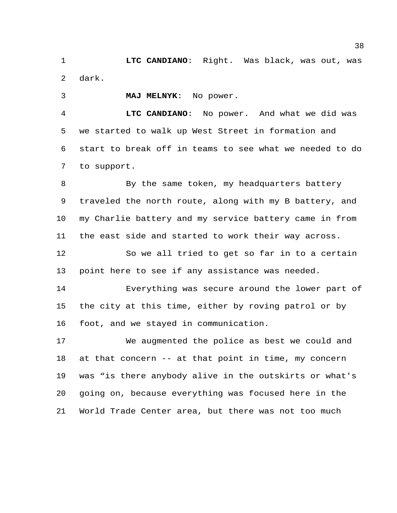**LTC CANDIANO**: Right. Was black, was out, was dark.

**MAJ MELNYK**: No power.

 **LTC CANDIANO**: No power. And what we did was we started to walk up West Street in formation and start to break off in teams to see what we needed to do to support.

8 By the same token, my headquarters battery traveled the north route, along with my B battery, and my Charlie battery and my service battery came in from the east side and started to work their way across.

 So we all tried to get so far in to a certain point here to see if any assistance was needed.

 Everything was secure around the lower part of the city at this time, either by roving patrol or by foot, and we stayed in communication.

 We augmented the police as best we could and at that concern -- at that point in time, my concern was "is there anybody alive in the outskirts or what's going on, because everything was focused here in the World Trade Center area, but there was not too much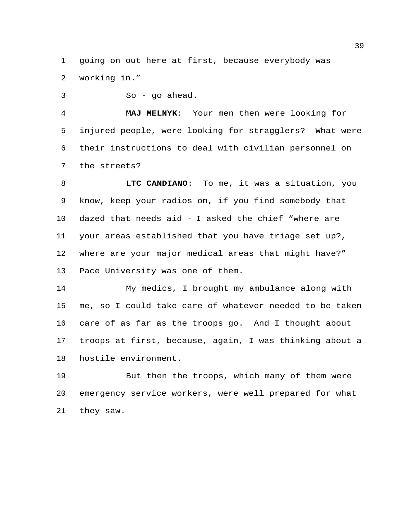going on out here at first, because everybody was working in."

So - go ahead.

 **MAJ MELNYK**: Your men then were looking for injured people, were looking for stragglers? What were their instructions to deal with civilian personnel on the streets?

 **LTC CANDIANO**: To me, it was a situation, you know, keep your radios on, if you find somebody that dazed that needs aid - I asked the chief "where are your areas established that you have triage set up?, where are your major medical areas that might have?" Pace University was one of them.

 My medics, I brought my ambulance along with me, so I could take care of whatever needed to be taken care of as far as the troops go. And I thought about troops at first, because, again, I was thinking about a hostile environment.

 But then the troops, which many of them were emergency service workers, were well prepared for what they saw.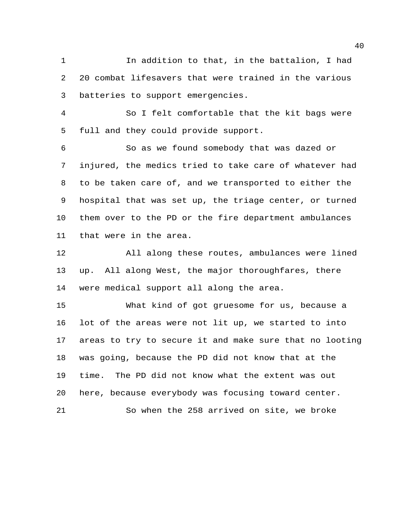In addition to that, in the battalion, I had 20 combat lifesavers that were trained in the various batteries to support emergencies.

 So I felt comfortable that the kit bags were full and they could provide support.

 So as we found somebody that was dazed or injured, the medics tried to take care of whatever had to be taken care of, and we transported to either the hospital that was set up, the triage center, or turned them over to the PD or the fire department ambulances that were in the area.

 All along these routes, ambulances were lined up. All along West, the major thoroughfares, there were medical support all along the area.

 What kind of got gruesome for us, because a lot of the areas were not lit up, we started to into areas to try to secure it and make sure that no looting was going, because the PD did not know that at the time. The PD did not know what the extent was out here, because everybody was focusing toward center. So when the 258 arrived on site, we broke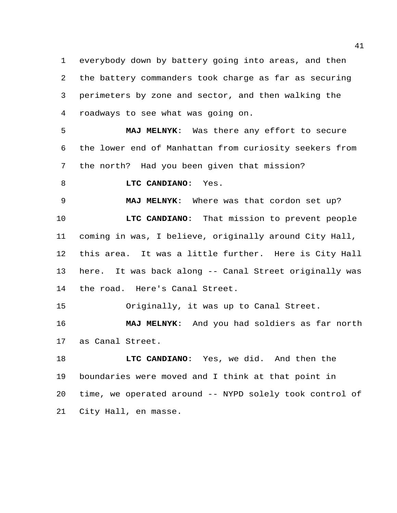everybody down by battery going into areas, and then the battery commanders took charge as far as securing perimeters by zone and sector, and then walking the roadways to see what was going on.

 **MAJ MELNYK**: Was there any effort to secure the lower end of Manhattan from curiosity seekers from the north? Had you been given that mission?

**LTC CANDIANO**: Yes.

**MAJ MELNYK**: Where was that cordon set up?

 **LTC CANDIANO**: That mission to prevent people coming in was, I believe, originally around City Hall, this area. It was a little further. Here is City Hall here. It was back along -- Canal Street originally was the road. Here's Canal Street.

Originally, it was up to Canal Street.

 **MAJ MELNYK**: And you had soldiers as far north as Canal Street.

 **LTC CANDIANO**: Yes, we did. And then the boundaries were moved and I think at that point in time, we operated around -- NYPD solely took control of City Hall, en masse.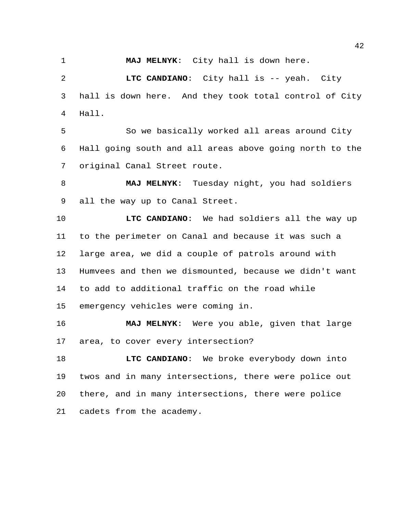**MAJ MELNYK**: City hall is down here.

 **LTC CANDIANO**: City hall is -- yeah. City hall is down here. And they took total control of City Hall.

 So we basically worked all areas around City Hall going south and all areas above going north to the original Canal Street route.

 **MAJ MELNYK**: Tuesday night, you had soldiers all the way up to Canal Street.

 **LTC CANDIANO**: We had soldiers all the way up to the perimeter on Canal and because it was such a large area, we did a couple of patrols around with Humvees and then we dismounted, because we didn't want to add to additional traffic on the road while emergency vehicles were coming in.

 **MAJ MELNYK**: Were you able, given that large area, to cover every intersection?

 **LTC CANDIANO**: We broke everybody down into twos and in many intersections, there were police out there, and in many intersections, there were police cadets from the academy.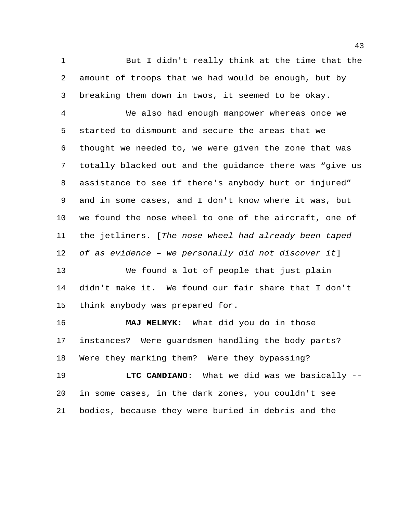But I didn't really think at the time that the amount of troops that we had would be enough, but by breaking them down in twos, it seemed to be okay.

 We also had enough manpower whereas once we started to dismount and secure the areas that we thought we needed to, we were given the zone that was totally blacked out and the guidance there was "give us assistance to see if there's anybody hurt or injured" and in some cases, and I don't know where it was, but we found the nose wheel to one of the aircraft, one of the jetliners. [*The nose wheel had already been taped of as evidence – we personally did not discover it*]

 We found a lot of people that just plain didn't make it. We found our fair share that I don't think anybody was prepared for.

 **MAJ MELNYK**: What did you do in those instances? Were guardsmen handling the body parts? Were they marking them? Were they bypassing?

 **LTC CANDIANO**: What we did was we basically -- in some cases, in the dark zones, you couldn't see bodies, because they were buried in debris and the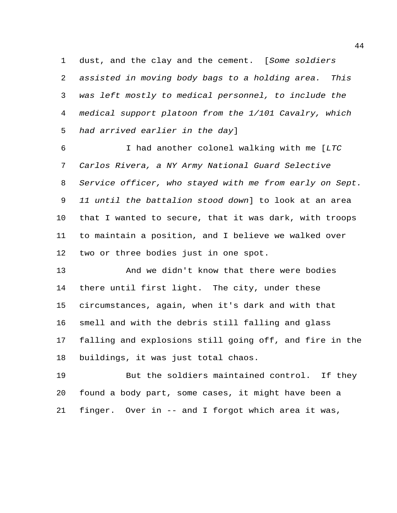dust, and the clay and the cement. [*Some soldiers assisted in moving body bags to a holding area. This was left mostly to medical personnel, to include the medical support platoon from the 1/101 Cavalry, which had arrived earlier in the day*]

 I had another colonel walking with me [*LTC Carlos Rivera, a NY Army National Guard Selective Service officer, who stayed with me from early on Sept. 11 until the battalion stood down*] to look at an area that I wanted to secure, that it was dark, with troops to maintain a position, and I believe we walked over two or three bodies just in one spot.

 And we didn't know that there were bodies there until first light. The city, under these circumstances, again, when it's dark and with that smell and with the debris still falling and glass falling and explosions still going off, and fire in the buildings, it was just total chaos.

 But the soldiers maintained control. If they found a body part, some cases, it might have been a finger. Over in -- and I forgot which area it was,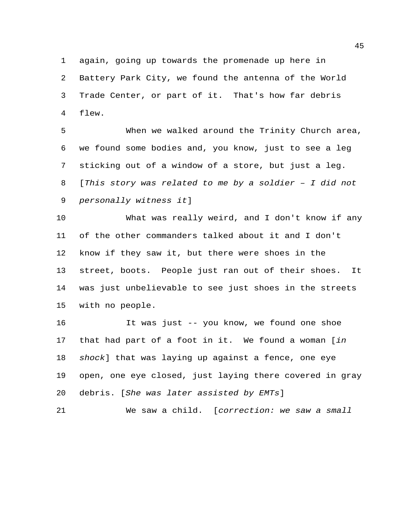again, going up towards the promenade up here in

 Battery Park City, we found the antenna of the World Trade Center, or part of it. That's how far debris flew.

 When we walked around the Trinity Church area, we found some bodies and, you know, just to see a leg sticking out of a window of a store, but just a leg. [*This story was related to me by a soldier – I did not personally witness it*]

 What was really weird, and I don't know if any of the other commanders talked about it and I don't know if they saw it, but there were shoes in the street, boots. People just ran out of their shoes. It was just unbelievable to see just shoes in the streets with no people.

 It was just -- you know, we found one shoe that had part of a foot in it. We found a woman [*in shock*] that was laying up against a fence, one eye open, one eye closed, just laying there covered in gray debris. [*She was later assisted by EMTs*]

We saw a child. [*correction: we saw a small*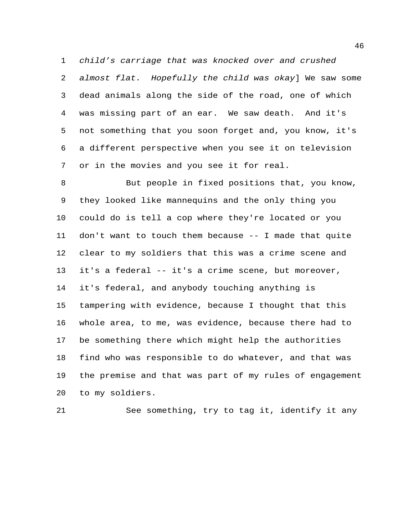*child's carriage that was knocked over and crushed almost flat. Hopefully the child was okay*] We saw some dead animals along the side of the road, one of which was missing part of an ear. We saw death. And it's not something that you soon forget and, you know, it's a different perspective when you see it on television or in the movies and you see it for real.

 But people in fixed positions that, you know, they looked like mannequins and the only thing you could do is tell a cop where they're located or you don't want to touch them because -- I made that quite clear to my soldiers that this was a crime scene and it's a federal -- it's a crime scene, but moreover, it's federal, and anybody touching anything is tampering with evidence, because I thought that this whole area, to me, was evidence, because there had to be something there which might help the authorities find who was responsible to do whatever, and that was the premise and that was part of my rules of engagement to my soldiers.

See something, try to tag it, identify it any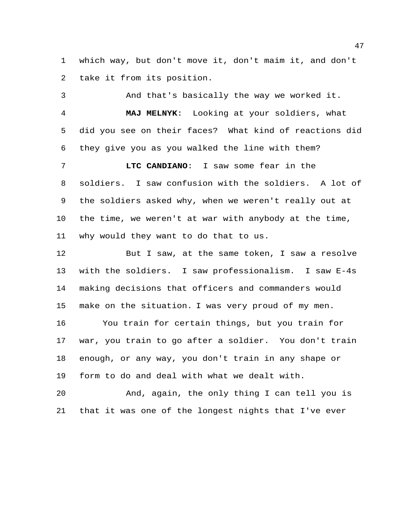which way, but don't move it, don't maim it, and don't take it from its position.

 And that's basically the way we worked it. **MAJ MELNYK**: Looking at your soldiers, what did you see on their faces? What kind of reactions did they give you as you walked the line with them? **LTC CANDIANO**: I saw some fear in the

 soldiers. I saw confusion with the soldiers. A lot of the soldiers asked why, when we weren't really out at the time, we weren't at war with anybody at the time, why would they want to do that to us.

 But I saw, at the same token, I saw a resolve with the soldiers. I saw professionalism. I saw E-4s making decisions that officers and commanders would make on the situation. I was very proud of my men. You train for certain things, but you train for war, you train to go after a soldier. You don't train enough, or any way, you don't train in any shape or form to do and deal with what we dealt with.

 And, again, the only thing I can tell you is that it was one of the longest nights that I've ever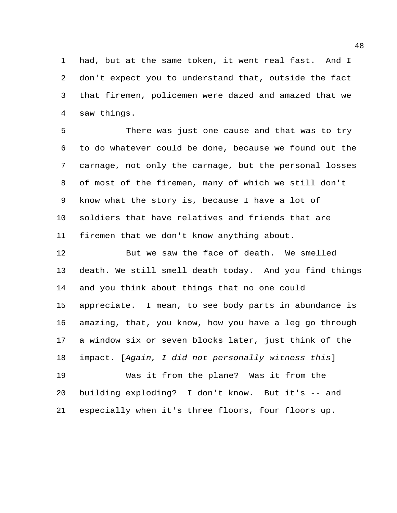had, but at the same token, it went real fast. And I don't expect you to understand that, outside the fact that firemen, policemen were dazed and amazed that we saw things.

 There was just one cause and that was to try to do whatever could be done, because we found out the carnage, not only the carnage, but the personal losses of most of the firemen, many of which we still don't know what the story is, because I have a lot of soldiers that have relatives and friends that are firemen that we don't know anything about.

 But we saw the face of death. We smelled death. We still smell death today. And you find things and you think about things that no one could appreciate. I mean, to see body parts in abundance is amazing, that, you know, how you have a leg go through a window six or seven blocks later, just think of the impact. [*Again, I did not personally witness this*] Was it from the plane? Was it from the

 building exploding? I don't know. But it's -- and especially when it's three floors, four floors up.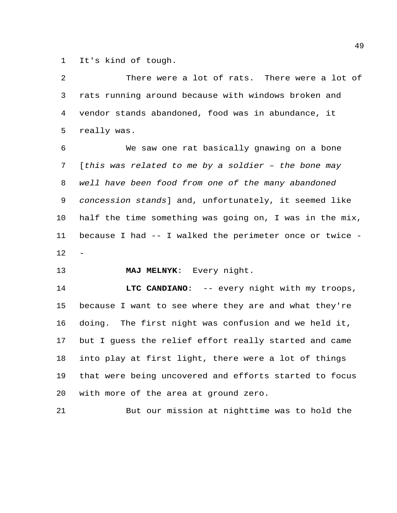It's kind of tough.

 There were a lot of rats. There were a lot of rats running around because with windows broken and vendor stands abandoned, food was in abundance, it really was. We saw one rat basically gnawing on a bone [*this was related to me by a soldier – the bone may well have been food from one of the many abandoned concession stands*] and, unfortunately, it seemed like half the time something was going on, I was in the mix, because I had -- I walked the perimeter once or twice - **MAJ MELNYK**: Every night.

**LTC CANDIANO:** -- every night with my troops, because I want to see where they are and what they're doing. The first night was confusion and we held it, but I guess the relief effort really started and came into play at first light, there were a lot of things that were being uncovered and efforts started to focus with more of the area at ground zero.

But our mission at nighttime was to hold the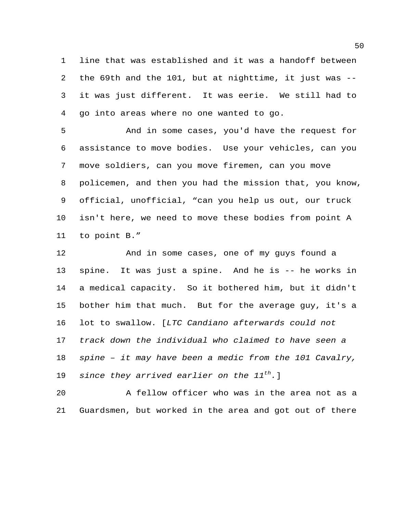line that was established and it was a handoff between the 69th and the 101, but at nighttime, it just was -- it was just different. It was eerie. We still had to go into areas where no one wanted to go.

 And in some cases, you'd have the request for assistance to move bodies. Use your vehicles, can you move soldiers, can you move firemen, can you move policemen, and then you had the mission that, you know, official, unofficial, "can you help us out, our truck isn't here, we need to move these bodies from point A to point B."

 And in some cases, one of my guys found a spine. It was just a spine. And he is -- he works in a medical capacity. So it bothered him, but it didn't bother him that much. But for the average guy, it's a lot to swallow. [*LTC Candiano afterwards could not track down the individual who claimed to have seen a spine – it may have been a medic from the 101 Cavalry, since they arrived earlier on the 11<sup>th</sup>.*]

 A fellow officer who was in the area not as a Guardsmen, but worked in the area and got out of there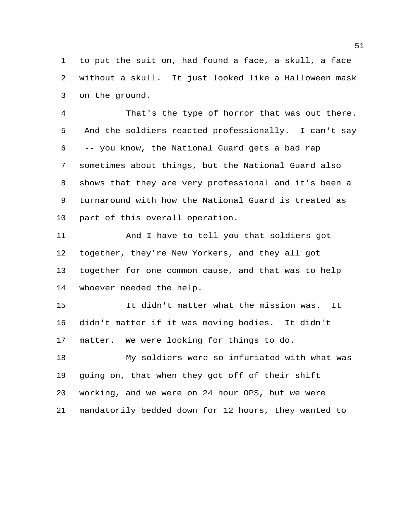to put the suit on, had found a face, a skull, a face without a skull. It just looked like a Halloween mask on the ground.

 That's the type of horror that was out there. And the soldiers reacted professionally. I can't say -- you know, the National Guard gets a bad rap sometimes about things, but the National Guard also shows that they are very professional and it's been a turnaround with how the National Guard is treated as part of this overall operation.

 And I have to tell you that soldiers got together, they're New Yorkers, and they all got together for one common cause, and that was to help whoever needed the help.

 It didn't matter what the mission was. It didn't matter if it was moving bodies. It didn't matter. We were looking for things to do.

 My soldiers were so infuriated with what was going on, that when they got off of their shift working, and we were on 24 hour OPS, but we were mandatorily bedded down for 12 hours, they wanted to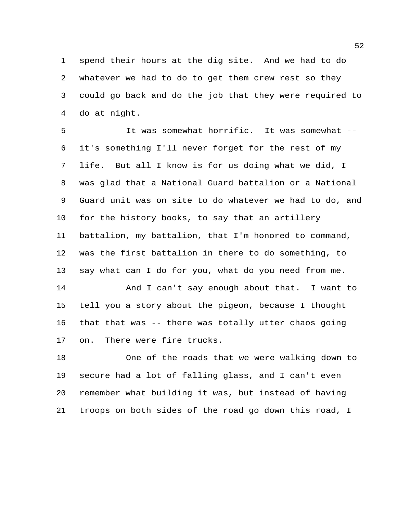spend their hours at the dig site. And we had to do whatever we had to do to get them crew rest so they could go back and do the job that they were required to do at night.

 It was somewhat horrific. It was somewhat -- it's something I'll never forget for the rest of my life. But all I know is for us doing what we did, I was glad that a National Guard battalion or a National Guard unit was on site to do whatever we had to do, and for the history books, to say that an artillery battalion, my battalion, that I'm honored to command, was the first battalion in there to do something, to say what can I do for you, what do you need from me. And I can't say enough about that. I want to tell you a story about the pigeon, because I thought that that was -- there was totally utter chaos going

on. There were fire trucks.

 One of the roads that we were walking down to secure had a lot of falling glass, and I can't even remember what building it was, but instead of having troops on both sides of the road go down this road, I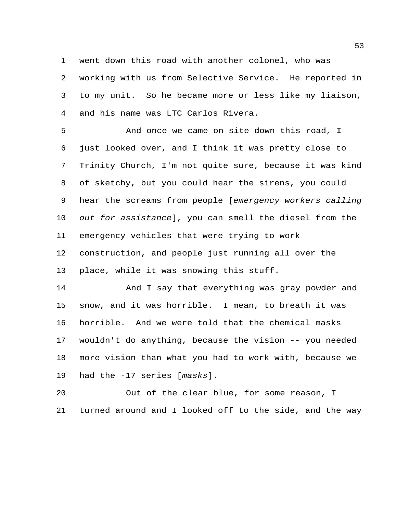went down this road with another colonel, who was working with us from Selective Service. He reported in to my unit. So he became more or less like my liaison, and his name was LTC Carlos Rivera.

 And once we came on site down this road, I just looked over, and I think it was pretty close to Trinity Church, I'm not quite sure, because it was kind of sketchy, but you could hear the sirens, you could hear the screams from people [*emergency workers calling out for assistance*], you can smell the diesel from the emergency vehicles that were trying to work construction, and people just running all over the place, while it was snowing this stuff.

14 And I say that everything was gray powder and snow, and it was horrible. I mean, to breath it was horrible. And we were told that the chemical masks wouldn't do anything, because the vision -- you needed more vision than what you had to work with, because we had the -17 series [*masks*].

 Out of the clear blue, for some reason, I turned around and I looked off to the side, and the way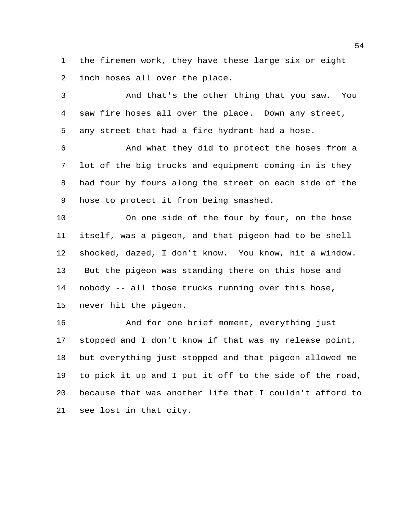the firemen work, they have these large six or eight inch hoses all over the place.

 And that's the other thing that you saw. You saw fire hoses all over the place. Down any street, any street that had a fire hydrant had a hose.

 And what they did to protect the hoses from a lot of the big trucks and equipment coming in is they had four by fours along the street on each side of the hose to protect it from being smashed.

 On one side of the four by four, on the hose itself, was a pigeon, and that pigeon had to be shell shocked, dazed, I don't know. You know, hit a window. But the pigeon was standing there on this hose and nobody -- all those trucks running over this hose, never hit the pigeon.

 And for one brief moment, everything just stopped and I don't know if that was my release point, but everything just stopped and that pigeon allowed me to pick it up and I put it off to the side of the road, because that was another life that I couldn't afford to see lost in that city.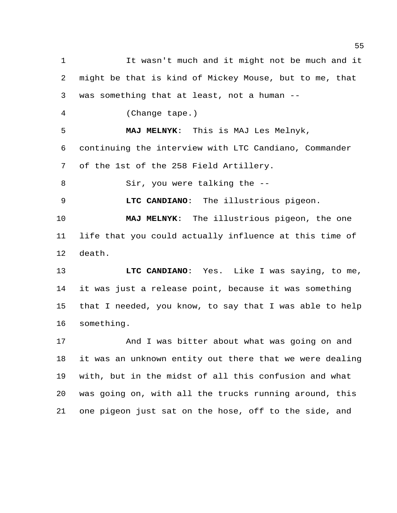It wasn't much and it might not be much and it might be that is kind of Mickey Mouse, but to me, that was something that at least, not a human -- (Change tape.) **MAJ MELNYK**: This is MAJ Les Melnyk, continuing the interview with LTC Candiano, Commander of the 1st of the 258 Field Artillery. Sir, you were talking the -- **LTC CANDIANO**: The illustrious pigeon. **MAJ MELNYK**: The illustrious pigeon, the one life that you could actually influence at this time of death. **LTC CANDIANO**: Yes. Like I was saying, to me, it was just a release point, because it was something that I needed, you know, to say that I was able to help something. And I was bitter about what was going on and it was an unknown entity out there that we were dealing with, but in the midst of all this confusion and what was going on, with all the trucks running around, this one pigeon just sat on the hose, off to the side, and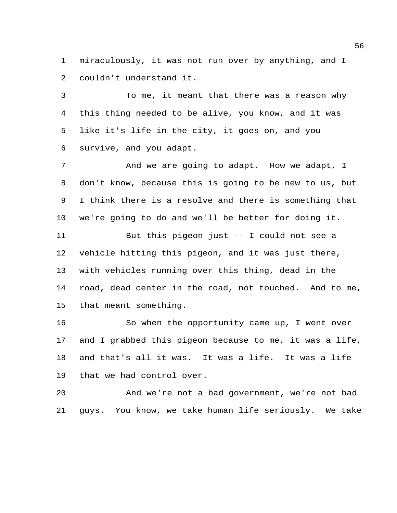miraculously, it was not run over by anything, and I couldn't understand it.

 To me, it meant that there was a reason why this thing needed to be alive, you know, and it was like it's life in the city, it goes on, and you survive, and you adapt.

 And we are going to adapt. How we adapt, I don't know, because this is going to be new to us, but I think there is a resolve and there is something that we're going to do and we'll be better for doing it.

 But this pigeon just -- I could not see a vehicle hitting this pigeon, and it was just there, with vehicles running over this thing, dead in the road, dead center in the road, not touched. And to me, that meant something.

 So when the opportunity came up, I went over and I grabbed this pigeon because to me, it was a life, and that's all it was. It was a life. It was a life that we had control over.

 And we're not a bad government, we're not bad guys. You know, we take human life seriously. We take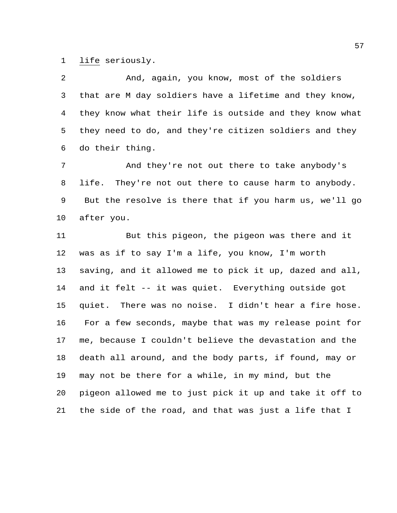life seriously.

 And, again, you know, most of the soldiers that are M day soldiers have a lifetime and they know, they know what their life is outside and they know what they need to do, and they're citizen soldiers and they do their thing.

 And they're not out there to take anybody's 8 life. They're not out there to cause harm to anybody. But the resolve is there that if you harm us, we'll go after you.

 But this pigeon, the pigeon was there and it was as if to say I'm a life, you know, I'm worth saving, and it allowed me to pick it up, dazed and all, and it felt -- it was quiet. Everything outside got quiet. There was no noise. I didn't hear a fire hose. For a few seconds, maybe that was my release point for me, because I couldn't believe the devastation and the death all around, and the body parts, if found, may or may not be there for a while, in my mind, but the pigeon allowed me to just pick it up and take it off to the side of the road, and that was just a life that I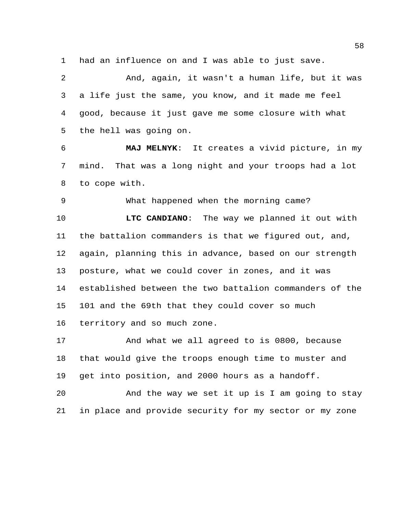had an influence on and I was able to just save.

 And, again, it wasn't a human life, but it was a life just the same, you know, and it made me feel good, because it just gave me some closure with what the hell was going on.

 **MAJ MELNYK**: It creates a vivid picture, in my mind. That was a long night and your troops had a lot to cope with.

What happened when the morning came?

 **LTC CANDIANO**: The way we planned it out with the battalion commanders is that we figured out, and, again, planning this in advance, based on our strength posture, what we could cover in zones, and it was established between the two battalion commanders of the 101 and the 69th that they could cover so much territory and so much zone.

 And what we all agreed to is 0800, because that would give the troops enough time to muster and get into position, and 2000 hours as a handoff.

 And the way we set it up is I am going to stay in place and provide security for my sector or my zone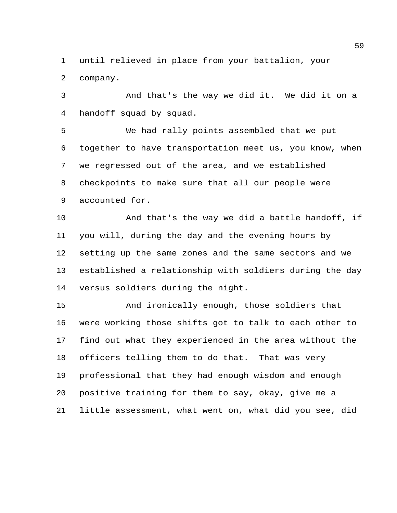until relieved in place from your battalion, your company.

 And that's the way we did it. We did it on a handoff squad by squad.

 We had rally points assembled that we put together to have transportation meet us, you know, when we regressed out of the area, and we established checkpoints to make sure that all our people were accounted for.

 And that's the way we did a battle handoff, if you will, during the day and the evening hours by setting up the same zones and the same sectors and we established a relationship with soldiers during the day versus soldiers during the night.

 And ironically enough, those soldiers that were working those shifts got to talk to each other to find out what they experienced in the area without the officers telling them to do that. That was very professional that they had enough wisdom and enough positive training for them to say, okay, give me a little assessment, what went on, what did you see, did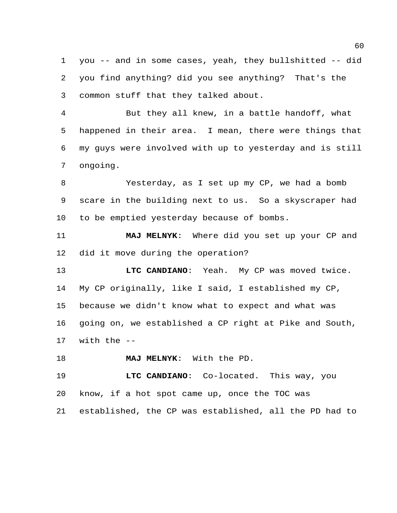you -- and in some cases, yeah, they bullshitted -- did you find anything? did you see anything? That's the common stuff that they talked about.

 But they all knew, in a battle handoff, what happened in their area. I mean, there were things that my guys were involved with up to yesterday and is still ongoing.

 Yesterday, as I set up my CP, we had a bomb scare in the building next to us. So a skyscraper had to be emptied yesterday because of bombs.

 **MAJ MELNYK**: Where did you set up your CP and did it move during the operation?

 **LTC CANDIANO**: Yeah. My CP was moved twice. My CP originally, like I said, I established my CP, because we didn't know what to expect and what was going on, we established a CP right at Pike and South, with the --

**MAJ MELNYK**: With the PD.

 **LTC CANDIANO**: Co-located. This way, you know, if a hot spot came up, once the TOC was established, the CP was established, all the PD had to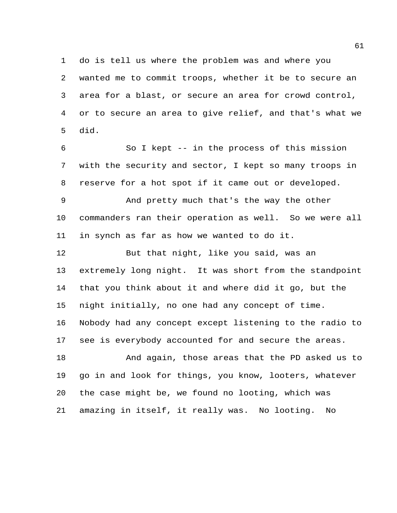do is tell us where the problem was and where you wanted me to commit troops, whether it be to secure an area for a blast, or secure an area for crowd control, or to secure an area to give relief, and that's what we did.

 So I kept -- in the process of this mission with the security and sector, I kept so many troops in reserve for a hot spot if it came out or developed.

 And pretty much that's the way the other commanders ran their operation as well. So we were all in synch as far as how we wanted to do it.

 But that night, like you said, was an extremely long night. It was short from the standpoint that you think about it and where did it go, but the night initially, no one had any concept of time. Nobody had any concept except listening to the radio to see is everybody accounted for and secure the areas.

 And again, those areas that the PD asked us to go in and look for things, you know, looters, whatever the case might be, we found no looting, which was amazing in itself, it really was. No looting. No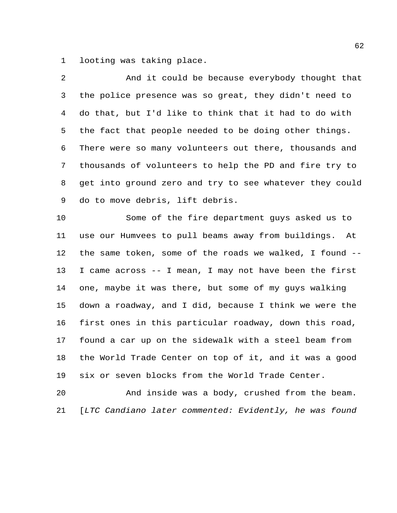looting was taking place.

| 2            | And it could be because everybody thought that          |
|--------------|---------------------------------------------------------|
| $\mathsf{3}$ | the police presence was so great, they didn't need to   |
| 4            | do that, but I'd like to think that it had to do with   |
| 5            | the fact that people needed to be doing other things.   |
| 6            | There were so many volunteers out there, thousands and  |
| 7            | thousands of volunteers to help the PD and fire try to  |
| 8            | get into ground zero and try to see whatever they could |
| 9            | do to move debris, lift debris.                         |
| 10           | Some of the fire department guys asked us to            |
| 11           | use our Humvees to pull beams away from buildings. At   |
| 12           | the same token, some of the roads we walked, I found -- |
| 13           | I came across -- I mean, I may not have been the first  |
| 14           | one, maybe it was there, but some of my guys walking    |
| 15           | down a roadway, and I did, because I think we were the  |
| 16           | first ones in this particular roadway, down this road,  |
| 17           | found a car up on the sidewalk with a steel beam from   |
| 18           | the World Trade Center on top of it, and it was a good  |
| 19           | six or seven blocks from the World Trade Center.        |

 And inside was a body, crushed from the beam. [*LTC Candiano later commented: Evidently, he was found*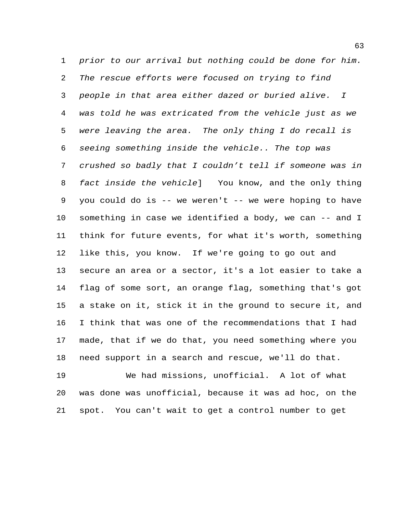*prior to our arrival but nothing could be done for him. The rescue efforts were focused on trying to find people in that area either dazed or buried alive. I was told he was extricated from the vehicle just as we were leaving the area. The only thing I do recall is seeing something inside the vehicle.. The top was crushed so badly that I couldn't tell if someone was in fact inside the vehicle*]You know, and the only thing you could do is -- we weren't -- we were hoping to have something in case we identified a body, we can -- and I think for future events, for what it's worth, something like this, you know. If we're going to go out and secure an area or a sector, it's a lot easier to take a flag of some sort, an orange flag, something that's got a stake on it, stick it in the ground to secure it, and I think that was one of the recommendations that I had made, that if we do that, you need something where you need support in a search and rescue, we'll do that.

 We had missions, unofficial. A lot of what was done was unofficial, because it was ad hoc, on the spot. You can't wait to get a control number to get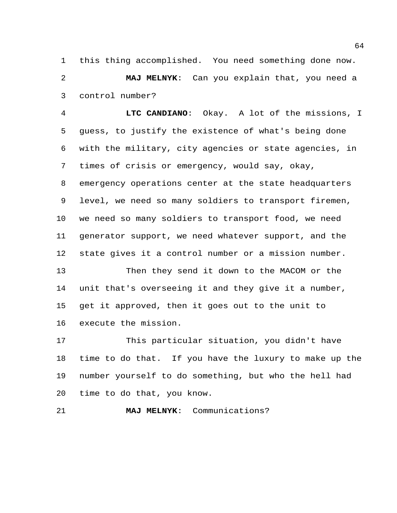this thing accomplished. You need something done now. **MAJ MELNYK**: Can you explain that, you need a control number?

 **LTC CANDIANO**: Okay. A lot of the missions, I guess, to justify the existence of what's being done with the military, city agencies or state agencies, in times of crisis or emergency, would say, okay, emergency operations center at the state headquarters level, we need so many soldiers to transport firemen, we need so many soldiers to transport food, we need generator support, we need whatever support, and the state gives it a control number or a mission number.

 Then they send it down to the MACOM or the unit that's overseeing it and they give it a number, get it approved, then it goes out to the unit to execute the mission.

 This particular situation, you didn't have time to do that. If you have the luxury to make up the number yourself to do something, but who the hell had time to do that, you know.

**MAJ MELNYK**: Communications?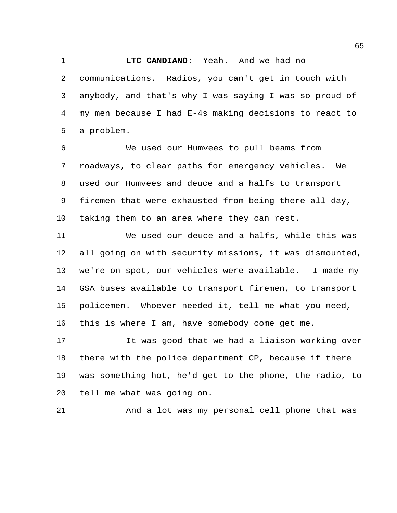communications. Radios, you can't get in touch with anybody, and that's why I was saying I was so proud of my men because I had E-4s making decisions to react to a problem.

**LTC CANDIANO**: Yeah. And we had no

 We used our Humvees to pull beams from roadways, to clear paths for emergency vehicles. We used our Humvees and deuce and a halfs to transport firemen that were exhausted from being there all day, taking them to an area where they can rest.

 We used our deuce and a halfs, while this was all going on with security missions, it was dismounted, we're on spot, our vehicles were available. I made my GSA buses available to transport firemen, to transport policemen. Whoever needed it, tell me what you need, this is where I am, have somebody come get me.

 It was good that we had a liaison working over there with the police department CP, because if there was something hot, he'd get to the phone, the radio, to tell me what was going on.

And a lot was my personal cell phone that was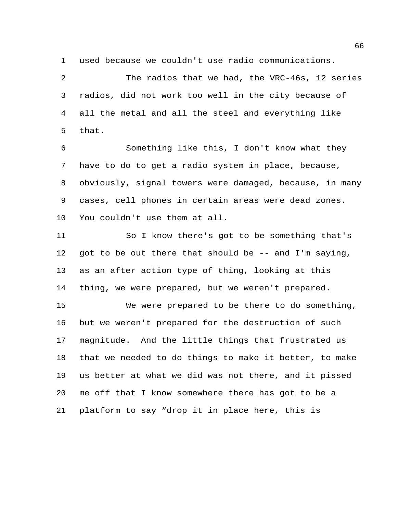used because we couldn't use radio communications.

 The radios that we had, the VRC-46s, 12 series radios, did not work too well in the city because of all the metal and all the steel and everything like that.

 Something like this, I don't know what they have to do to get a radio system in place, because, obviously, signal towers were damaged, because, in many cases, cell phones in certain areas were dead zones. You couldn't use them at all.

 So I know there's got to be something that's got to be out there that should be -- and I'm saying, as an after action type of thing, looking at this thing, we were prepared, but we weren't prepared.

 We were prepared to be there to do something, but we weren't prepared for the destruction of such magnitude. And the little things that frustrated us that we needed to do things to make it better, to make us better at what we did was not there, and it pissed me off that I know somewhere there has got to be a platform to say "drop it in place here, this is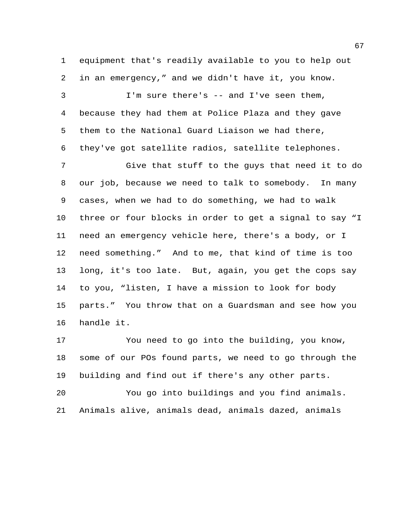equipment that's readily available to you to help out in an emergency," and we didn't have it, you know.

 I'm sure there's -- and I've seen them, because they had them at Police Plaza and they gave them to the National Guard Liaison we had there, they've got satellite radios, satellite telephones.

 Give that stuff to the guys that need it to do our job, because we need to talk to somebody. In many cases, when we had to do something, we had to walk three or four blocks in order to get a signal to say "I need an emergency vehicle here, there's a body, or I need something." And to me, that kind of time is too long, it's too late. But, again, you get the cops say to you, "listen, I have a mission to look for body parts." You throw that on a Guardsman and see how you handle it.

 You need to go into the building, you know, some of our POs found parts, we need to go through the building and find out if there's any other parts.

 You go into buildings and you find animals. Animals alive, animals dead, animals dazed, animals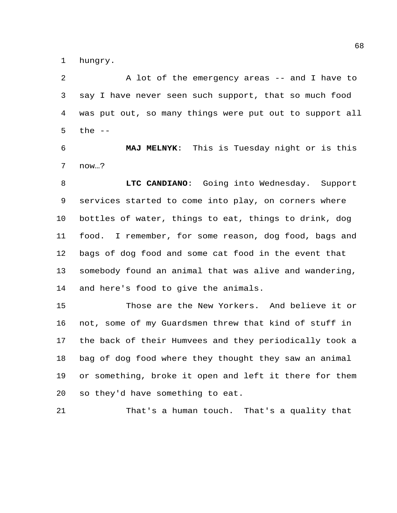hungry.

2 A lot of the emergency areas -- and I have to say I have never seen such support, that so much food was put out, so many things were put out to support all the --

 **MAJ MELNYK**: This is Tuesday night or is this now…?

 **LTC CANDIANO**: Going into Wednesday. Support services started to come into play, on corners where bottles of water, things to eat, things to drink, dog food. I remember, for some reason, dog food, bags and bags of dog food and some cat food in the event that somebody found an animal that was alive and wandering, and here's food to give the animals.

 Those are the New Yorkers. And believe it or not, some of my Guardsmen threw that kind of stuff in the back of their Humvees and they periodically took a bag of dog food where they thought they saw an animal or something, broke it open and left it there for them so they'd have something to eat.

That's a human touch. That's a quality that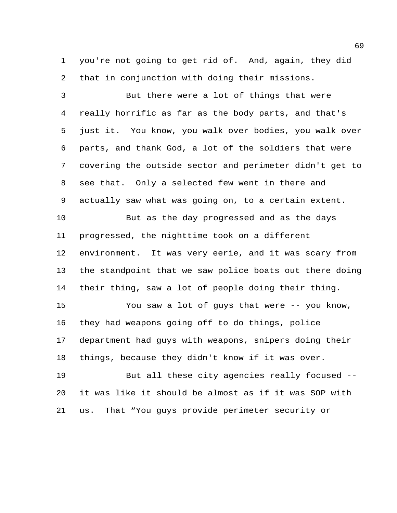you're not going to get rid of. And, again, they did that in conjunction with doing their missions.

 But there were a lot of things that were really horrific as far as the body parts, and that's just it. You know, you walk over bodies, you walk over parts, and thank God, a lot of the soldiers that were covering the outside sector and perimeter didn't get to see that. Only a selected few went in there and actually saw what was going on, to a certain extent.

 But as the day progressed and as the days progressed, the nighttime took on a different environment. It was very eerie, and it was scary from the standpoint that we saw police boats out there doing their thing, saw a lot of people doing their thing.

 You saw a lot of guys that were -- you know, they had weapons going off to do things, police department had guys with weapons, snipers doing their things, because they didn't know if it was over.

 But all these city agencies really focused -- it was like it should be almost as if it was SOP with us. That "You guys provide perimeter security or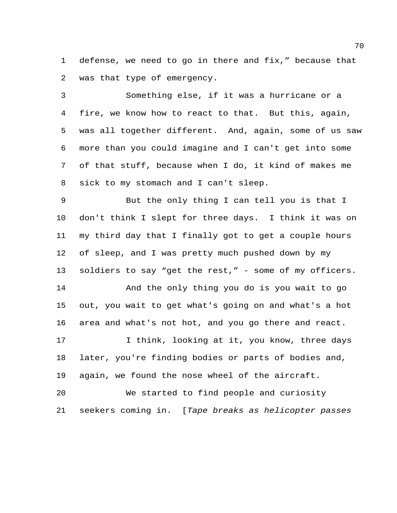defense, we need to go in there and fix," because that was that type of emergency.

 Something else, if it was a hurricane or a fire, we know how to react to that. But this, again, was all together different. And, again, some of us saw more than you could imagine and I can't get into some of that stuff, because when I do, it kind of makes me sick to my stomach and I can't sleep.

 But the only thing I can tell you is that I don't think I slept for three days. I think it was on my third day that I finally got to get a couple hours of sleep, and I was pretty much pushed down by my soldiers to say "get the rest," - some of my officers.

 And the only thing you do is you wait to go out, you wait to get what's going on and what's a hot area and what's not hot, and you go there and react.

17 I think, looking at it, you know, three days later, you're finding bodies or parts of bodies and, again, we found the nose wheel of the aircraft.

 We started to find people and curiosity seekers coming in. [*Tape breaks as helicopter passes*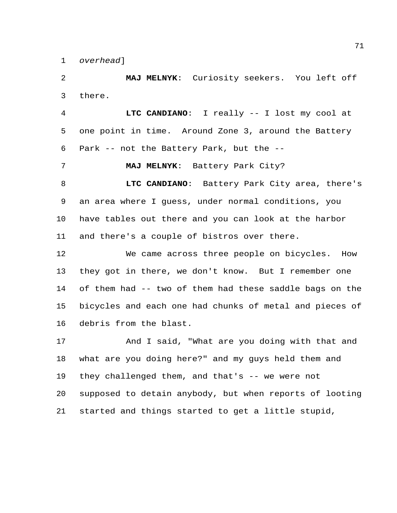*overhead*]

 **MAJ MELNYK**: Curiosity seekers. You left off there.

 **LTC CANDIANO**: I really -- I lost my cool at one point in time. Around Zone 3, around the Battery Park -- not the Battery Park, but the --

**MAJ MELNYK**: Battery Park City?

 **LTC CANDIANO**: Battery Park City area, there's an area where I guess, under normal conditions, you have tables out there and you can look at the harbor and there's a couple of bistros over there.

 We came across three people on bicycles. How they got in there, we don't know. But I remember one of them had -- two of them had these saddle bags on the bicycles and each one had chunks of metal and pieces of debris from the blast.

 And I said, "What are you doing with that and what are you doing here?" and my guys held them and they challenged them, and that's -- we were not supposed to detain anybody, but when reports of looting started and things started to get a little stupid,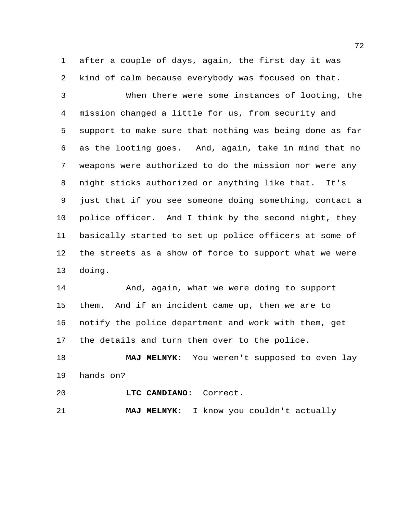after a couple of days, again, the first day it was kind of calm because everybody was focused on that.

 When there were some instances of looting, the mission changed a little for us, from security and support to make sure that nothing was being done as far as the looting goes. And, again, take in mind that no weapons were authorized to do the mission nor were any night sticks authorized or anything like that. It's just that if you see someone doing something, contact a police officer. And I think by the second night, they basically started to set up police officers at some of the streets as a show of force to support what we were doing.

 And, again, what we were doing to support them. And if an incident came up, then we are to notify the police department and work with them, get the details and turn them over to the police.

 **MAJ MELNYK**: You weren't supposed to even lay hands on?

**LTC CANDIANO**: Correct.

**MAJ MELNYK**: I know you couldn't actually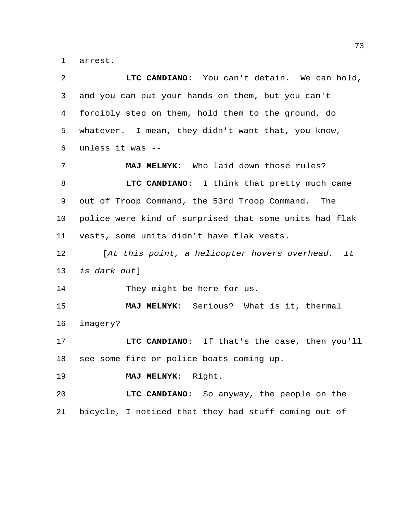arrest.

| 2  | LTC CANDIANO: You can't detain. We can hold,           |
|----|--------------------------------------------------------|
| 3  | and you can put your hands on them, but you can't      |
| 4  | forcibly step on them, hold them to the ground, do     |
| 5  | whatever. I mean, they didn't want that, you know,     |
| 6  | unless it was --                                       |
| 7  | MAJ MELNYK: Who laid down those rules?                 |
| 8  | LTC CANDIANO: I think that pretty much came            |
| 9  | out of Troop Command, the 53rd Troop Command. The      |
| 10 | police were kind of surprised that some units had flak |
| 11 | vests, some units didn't have flak vests.              |
| 12 | [At this point, a helicopter hovers overhead. It       |
| 13 | is dark out]                                           |
| 14 | They might be here for us.                             |
| 15 | MAJ MELNYK: Serious? What is it, thermal               |
| 16 | imagery?                                               |
| 17 | LTC CANDIANO: If that's the case, then you'll          |
| 18 | see some fire or police boats coming up.               |
| 19 | MAJ MELNYK: Right.                                     |
| 20 | LTC CANDIANO: So anyway, the people on the             |
| 21 | bicycle, I noticed that they had stuff coming out of   |
|    |                                                        |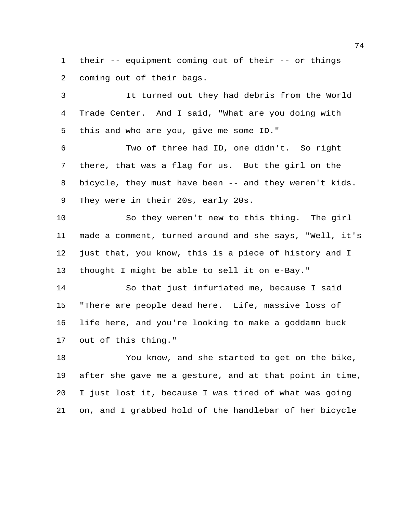their -- equipment coming out of their -- or things coming out of their bags.

 It turned out they had debris from the World Trade Center. And I said, "What are you doing with this and who are you, give me some ID."

 Two of three had ID, one didn't. So right there, that was a flag for us. But the girl on the bicycle, they must have been -- and they weren't kids. They were in their 20s, early 20s.

 So they weren't new to this thing. The girl made a comment, turned around and she says, "Well, it's just that, you know, this is a piece of history and I thought I might be able to sell it on e-Bay."

 So that just infuriated me, because I said "There are people dead here. Life, massive loss of life here, and you're looking to make a goddamn buck out of this thing."

 You know, and she started to get on the bike, after she gave me a gesture, and at that point in time, I just lost it, because I was tired of what was going on, and I grabbed hold of the handlebar of her bicycle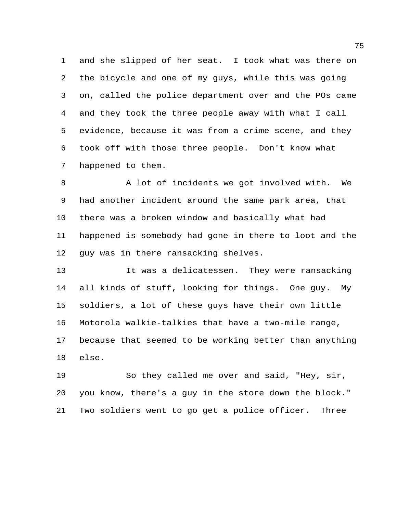and she slipped of her seat. I took what was there on the bicycle and one of my guys, while this was going on, called the police department over and the POs came and they took the three people away with what I call evidence, because it was from a crime scene, and they took off with those three people. Don't know what happened to them.

8 A lot of incidents we got involved with. We had another incident around the same park area, that there was a broken window and basically what had happened is somebody had gone in there to loot and the guy was in there ransacking shelves.

 It was a delicatessen. They were ransacking all kinds of stuff, looking for things. One guy. My soldiers, a lot of these guys have their own little Motorola walkie-talkies that have a two-mile range, because that seemed to be working better than anything else.

 So they called me over and said, "Hey, sir, you know, there's a guy in the store down the block." Two soldiers went to go get a police officer. Three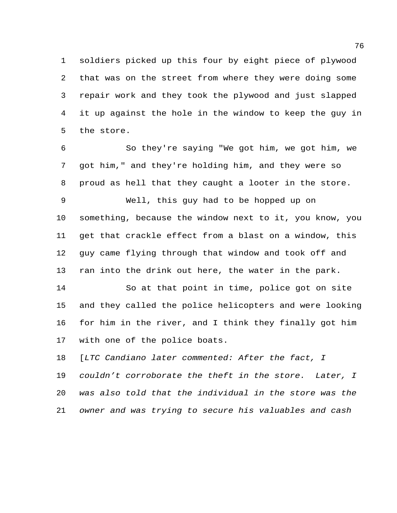soldiers picked up this four by eight piece of plywood that was on the street from where they were doing some repair work and they took the plywood and just slapped it up against the hole in the window to keep the guy in the store.

 So they're saying "We got him, we got him, we got him," and they're holding him, and they were so proud as hell that they caught a looter in the store.

 Well, this guy had to be hopped up on something, because the window next to it, you know, you get that crackle effect from a blast on a window, this guy came flying through that window and took off and ran into the drink out here, the water in the park.

 So at that point in time, police got on site and they called the police helicopters and were looking for him in the river, and I think they finally got him with one of the police boats.

 [*LTC Candiano later commented: After the fact, I couldn't corroborate the theft in the store. Later, I was also told that the individual in the store was the owner and was trying to secure his valuables and cash*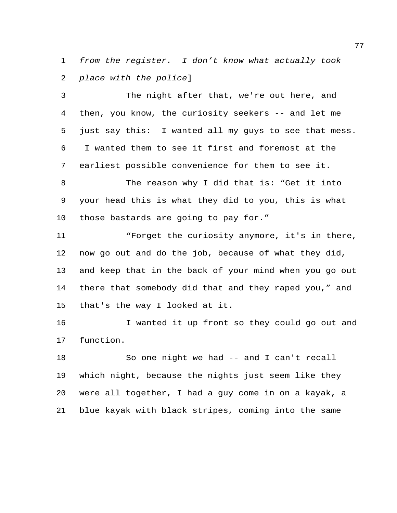*from the register. I don't know what actually took place with the police*]

 The night after that, we're out here, and then, you know, the curiosity seekers -- and let me just say this: I wanted all my guys to see that mess. I wanted them to see it first and foremost at the earliest possible convenience for them to see it.

 The reason why I did that is: "Get it into your head this is what they did to you, this is what those bastards are going to pay for."

 "Forget the curiosity anymore, it's in there, now go out and do the job, because of what they did, and keep that in the back of your mind when you go out there that somebody did that and they raped you," and that's the way I looked at it.

 I wanted it up front so they could go out and function.

 So one night we had -- and I can't recall which night, because the nights just seem like they were all together, I had a guy come in on a kayak, a blue kayak with black stripes, coming into the same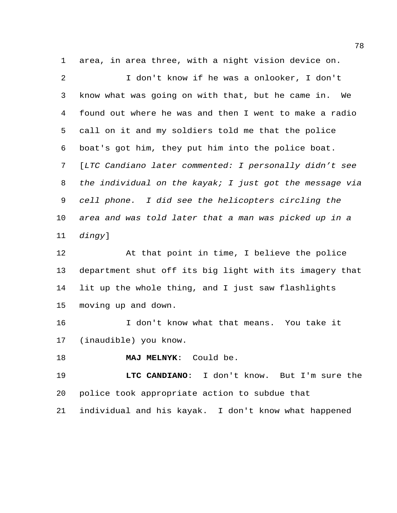area, in area three, with a night vision device on.

 I don't know if he was a onlooker, I don't know what was going on with that, but he came in. We found out where he was and then I went to make a radio call on it and my soldiers told me that the police boat's got him, they put him into the police boat. [*LTC Candiano later commented: I personally didn't see the individual on the kayak; I just got the message via cell phone. I did see the helicopters circling the area and was told later that a man was picked up in a dingy*]

 At that point in time, I believe the police department shut off its big light with its imagery that lit up the whole thing, and I just saw flashlights moving up and down.

 I don't know what that means. You take it (inaudible) you know.

**MAJ MELNYK**: Could be.

 **LTC CANDIANO**: I don't know. But I'm sure the police took appropriate action to subdue that

individual and his kayak. I don't know what happened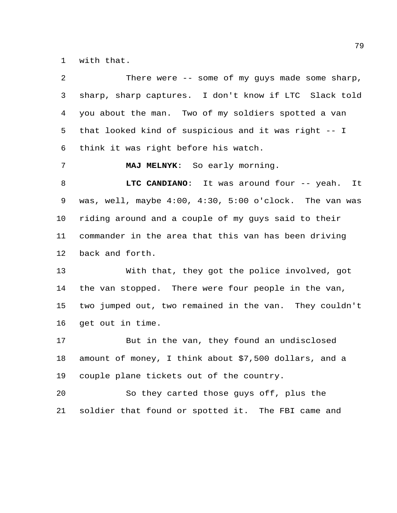with that.

| $\overline{a}$ | There were $--$ some of my guys made some sharp,               |
|----------------|----------------------------------------------------------------|
| 3              | sharp, sharp captures. I don't know if LTC Slack told          |
| 4              | you about the man. Two of my soldiers spotted a van            |
| 5              | that looked kind of suspicious and it was right -- I           |
| 6              | think it was right before his watch.                           |
| 7              | MAJ MELNYK: So early morning.                                  |
| 8              | LTC CANDIANO: It was around four -- yeah. It                   |
| 9              | was, well, maybe $4:00$ , $4:30$ , $5:00$ o'clock. The van was |
| 10             | riding around and a couple of my guys said to their            |
| 11             | commander in the area that this van has been driving           |
| 12             | back and forth.                                                |
| 13             | With that, they got the police involved, got                   |
| 14             | the van stopped. There were four people in the van,            |
| 15             | two jumped out, two remained in the van. They couldn't         |
| 16             | get out in time.                                               |
| 17             | But in the van, they found an undisclosed                      |
| 18             | amount of money, I think about \$7,500 dollars, and a          |
| 19             | couple plane tickets out of the country.                       |
| 20             | So they carted those guys off, plus the                        |
| 21             | soldier that found or spotted it. The FBI came and             |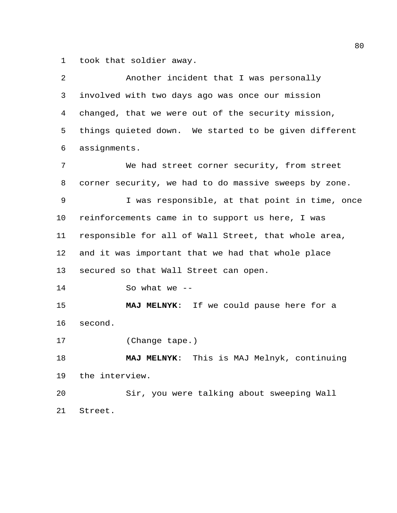took that soldier away.

| 2  | Another incident that I was personally                |
|----|-------------------------------------------------------|
| 3  | involved with two days ago was once our mission       |
| 4  | changed, that we were out of the security mission,    |
| 5  | things quieted down. We started to be given different |
| 6  | assignments.                                          |
| 7  | We had street corner security, from street            |
| 8  | corner security, we had to do massive sweeps by zone. |
| 9  | I was responsible, at that point in time, once        |
| 10 | reinforcements came in to support us here, I was      |
| 11 | responsible for all of Wall Street, that whole area,  |
| 12 | and it was important that we had that whole place     |
| 13 | secured so that Wall Street can open.                 |
| 14 | So what we $--$                                       |
| 15 | MAJ MELNYK: If we could pause here for a              |
| 16 | second.                                               |
| 17 | (Change tape.)                                        |
| 18 | MAJ MELNYK: This is MAJ Melnyk, continuing            |
| 19 | the interview.                                        |
| 20 | Sir, you were talking about sweeping Wall             |
| 21 | Street.                                               |
|    |                                                       |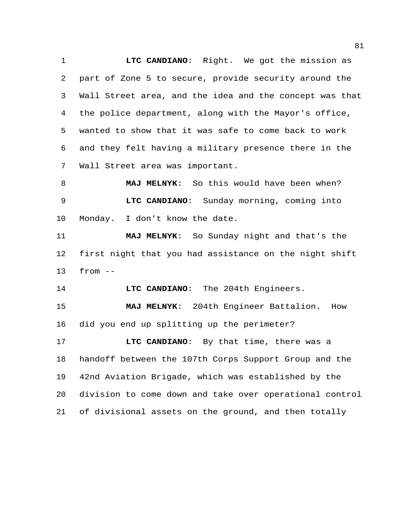**LTC CANDIANO**: Right. We got the mission as part of Zone 5 to secure, provide security around the Wall Street area, and the idea and the concept was that the police department, along with the Mayor's office, wanted to show that it was safe to come back to work and they felt having a military presence there in the Wall Street area was important.

 **MAJ MELNYK**: So this would have been when? **LTC CANDIANO**: Sunday morning, coming into Monday. I don't know the date.

 **MAJ MELNYK**: So Sunday night and that's the first night that you had assistance on the night shift from --

**LTC CANDIANO**: The 204th Engineers.

 **MAJ MELNYK**: 204th Engineer Battalion. How did you end up splitting up the perimeter?

 **LTC CANDIANO**: By that time, there was a handoff between the 107th Corps Support Group and the 42nd Aviation Brigade, which was established by the division to come down and take over operational control of divisional assets on the ground, and then totally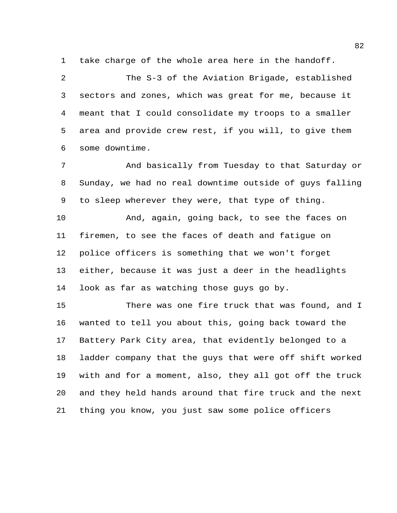take charge of the whole area here in the handoff.

 The S-3 of the Aviation Brigade, established sectors and zones, which was great for me, because it meant that I could consolidate my troops to a smaller area and provide crew rest, if you will, to give them some downtime.

 And basically from Tuesday to that Saturday or Sunday, we had no real downtime outside of guys falling to sleep wherever they were, that type of thing.

 And, again, going back, to see the faces on firemen, to see the faces of death and fatigue on police officers is something that we won't forget either, because it was just a deer in the headlights look as far as watching those guys go by.

 There was one fire truck that was found, and I wanted to tell you about this, going back toward the Battery Park City area, that evidently belonged to a ladder company that the guys that were off shift worked with and for a moment, also, they all got off the truck and they held hands around that fire truck and the next thing you know, you just saw some police officers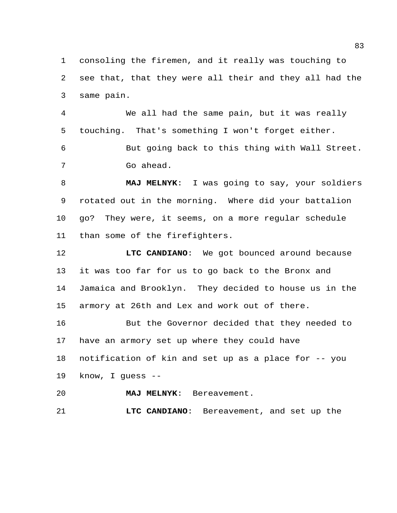consoling the firemen, and it really was touching to see that, that they were all their and they all had the same pain.

 We all had the same pain, but it was really touching. That's something I won't forget either.

 But going back to this thing with Wall Street. Go ahead.

 **MAJ MELNYK**: I was going to say, your soldiers rotated out in the morning. Where did your battalion go? They were, it seems, on a more regular schedule than some of the firefighters.

 **LTC CANDIANO**: We got bounced around because it was too far for us to go back to the Bronx and Jamaica and Brooklyn. They decided to house us in the armory at 26th and Lex and work out of there.

 But the Governor decided that they needed to have an armory set up where they could have

notification of kin and set up as a place for -- you

know, I guess --

**MAJ MELNYK**: Bereavement.

**LTC CANDIANO**: Bereavement, and set up the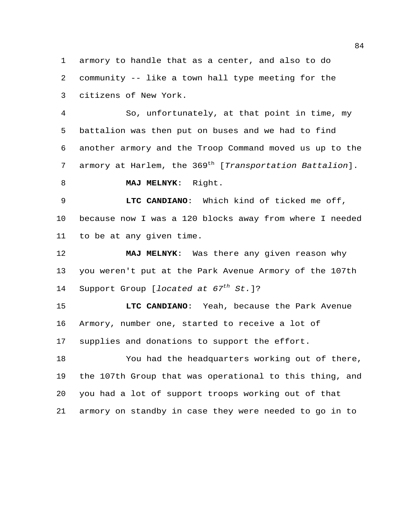armory to handle that as a center, and also to do community -- like a town hall type meeting for the citizens of New York.

 So, unfortunately, at that point in time, my battalion was then put on buses and we had to find another armory and the Troop Command moved us up to the 7 armory at Harlem, the 369<sup>th</sup> [*Transportation Battalion*].

**MAJ MELNYK**: Right.

 **LTC CANDIANO**: Which kind of ticked me off, because now I was a 120 blocks away from where I needed to be at any given time.

 **MAJ MELNYK**: Was there any given reason why you weren't put at the Park Avenue Armory of the 107th 14 Support Group [*located at 67<sup>th</sup> St.*]?

 **LTC CANDIANO**: Yeah, because the Park Avenue Armory, number one, started to receive a lot of supplies and donations to support the effort.

 You had the headquarters working out of there, the 107th Group that was operational to this thing, and you had a lot of support troops working out of that armory on standby in case they were needed to go in to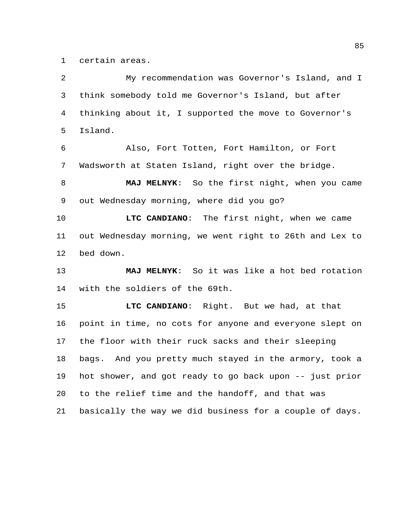certain areas.

 My recommendation was Governor's Island, and I think somebody told me Governor's Island, but after thinking about it, I supported the move to Governor's Island. Also, Fort Totten, Fort Hamilton, or Fort Wadsworth at Staten Island, right over the bridge. **MAJ MELNYK**: So the first night, when you came out Wednesday morning, where did you go? **LTC CANDIANO**: The first night, when we came out Wednesday morning, we went right to 26th and Lex to bed down. **MAJ MELNYK**: So it was like a hot bed rotation with the soldiers of the 69th. **LTC CANDIANO**: Right. But we had, at that point in time, no cots for anyone and everyone slept on the floor with their ruck sacks and their sleeping bags. And you pretty much stayed in the armory, took a hot shower, and got ready to go back upon -- just prior to the relief time and the handoff, and that was basically the way we did business for a couple of days.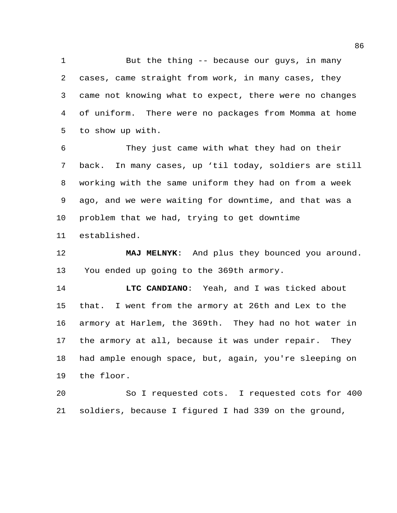1 But the thing -- because our guys, in many cases, came straight from work, in many cases, they came not knowing what to expect, there were no changes of uniform. There were no packages from Momma at home to show up with.

 They just came with what they had on their back. In many cases, up 'til today, soldiers are still working with the same uniform they had on from a week ago, and we were waiting for downtime, and that was a problem that we had, trying to get downtime established.

 **MAJ MELNYK**: And plus they bounced you around. You ended up going to the 369th armory.

 **LTC CANDIANO**: Yeah, and I was ticked about that. I went from the armory at 26th and Lex to the armory at Harlem, the 369th. They had no hot water in the armory at all, because it was under repair. They had ample enough space, but, again, you're sleeping on the floor.

 So I requested cots. I requested cots for 400 soldiers, because I figured I had 339 on the ground,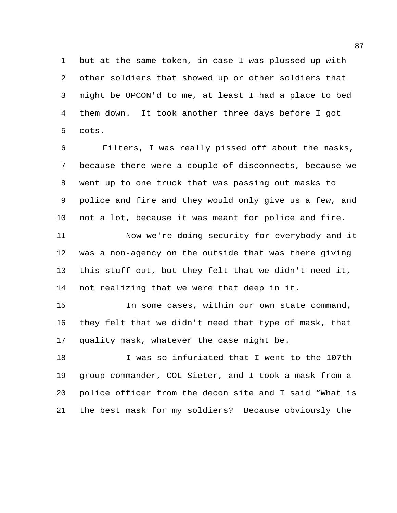but at the same token, in case I was plussed up with other soldiers that showed up or other soldiers that might be OPCON'd to me, at least I had a place to bed them down. It took another three days before I got cots.

 Filters, I was really pissed off about the masks, because there were a couple of disconnects, because we went up to one truck that was passing out masks to police and fire and they would only give us a few, and not a lot, because it was meant for police and fire.

 Now we're doing security for everybody and it was a non-agency on the outside that was there giving this stuff out, but they felt that we didn't need it, not realizing that we were that deep in it.

 In some cases, within our own state command, they felt that we didn't need that type of mask, that quality mask, whatever the case might be.

 I was so infuriated that I went to the 107th group commander, COL Sieter, and I took a mask from a police officer from the decon site and I said "What is the best mask for my soldiers? Because obviously the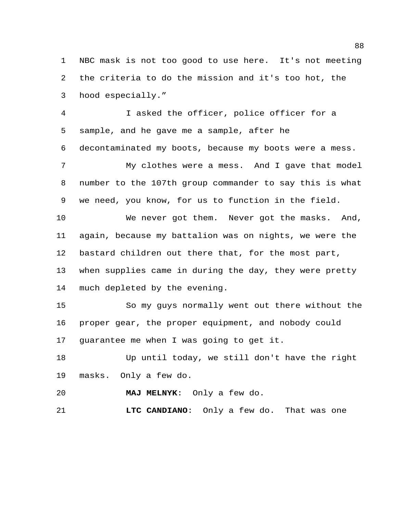NBC mask is not too good to use here. It's not meeting the criteria to do the mission and it's too hot, the hood especially."

 I asked the officer, police officer for a sample, and he gave me a sample, after he decontaminated my boots, because my boots were a mess.

 My clothes were a mess. And I gave that model number to the 107th group commander to say this is what we need, you know, for us to function in the field.

 We never got them. Never got the masks. And, again, because my battalion was on nights, we were the bastard children out there that, for the most part, when supplies came in during the day, they were pretty much depleted by the evening.

 So my guys normally went out there without the proper gear, the proper equipment, and nobody could guarantee me when I was going to get it.

 Up until today, we still don't have the right masks. Only a few do.

**MAJ MELNYK**: Only a few do.

**LTC CANDIANO**: Only a few do. That was one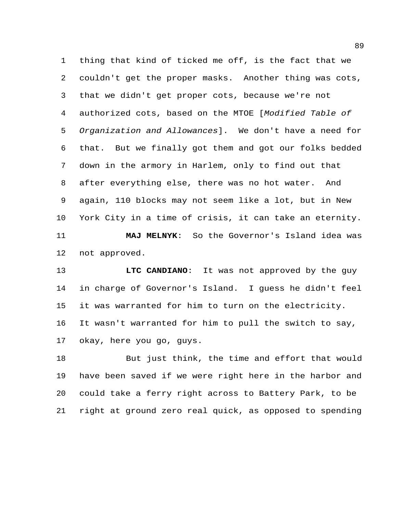thing that kind of ticked me off, is the fact that we couldn't get the proper masks. Another thing was cots, that we didn't get proper cots, because we're not authorized cots, based on the MTOE [*Modified Table of Organization and Allowances*]. We don't have a need for that. But we finally got them and got our folks bedded down in the armory in Harlem, only to find out that after everything else, there was no hot water. And again, 110 blocks may not seem like a lot, but in New York City in a time of crisis, it can take an eternity. **MAJ MELNYK**: So the Governor's Island idea was not approved.

 **LTC CANDIANO**: It was not approved by the guy in charge of Governor's Island. I guess he didn't feel it was warranted for him to turn on the electricity. It wasn't warranted for him to pull the switch to say, okay, here you go, guys.

 But just think, the time and effort that would have been saved if we were right here in the harbor and could take a ferry right across to Battery Park, to be right at ground zero real quick, as opposed to spending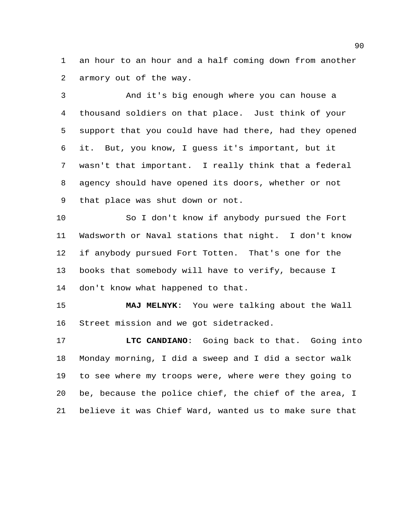an hour to an hour and a half coming down from another armory out of the way.

 And it's big enough where you can house a thousand soldiers on that place. Just think of your support that you could have had there, had they opened it. But, you know, I guess it's important, but it wasn't that important. I really think that a federal agency should have opened its doors, whether or not that place was shut down or not.

 So I don't know if anybody pursued the Fort Wadsworth or Naval stations that night. I don't know if anybody pursued Fort Totten. That's one for the books that somebody will have to verify, because I don't know what happened to that.

 **MAJ MELNYK**: You were talking about the Wall Street mission and we got sidetracked.

 **LTC CANDIANO**: Going back to that. Going into Monday morning, I did a sweep and I did a sector walk to see where my troops were, where were they going to be, because the police chief, the chief of the area, I believe it was Chief Ward, wanted us to make sure that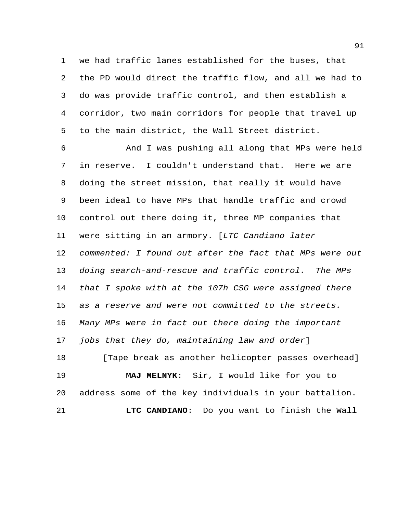we had traffic lanes established for the buses, that the PD would direct the traffic flow, and all we had to do was provide traffic control, and then establish a corridor, two main corridors for people that travel up to the main district, the Wall Street district.

 And I was pushing all along that MPs were held in reserve. I couldn't understand that. Here we are doing the street mission, that really it would have been ideal to have MPs that handle traffic and crowd control out there doing it, three MP companies that were sitting in an armory. [*LTC Candiano later commented: I found out after the fact that MPs were out doing search-and-rescue and traffic control. The MPs that I spoke with at the 107h CSG were assigned there as a reserve and were not committed to the streets. Many MPs were in fact out there doing the important jobs that they do, maintaining law and order*] 18 [Tape break as another helicopter passes overhead] **MAJ MELNYK**: Sir, I would like for you to address some of the key individuals in your battalion.

**LTC CANDIANO**: Do you want to finish the Wall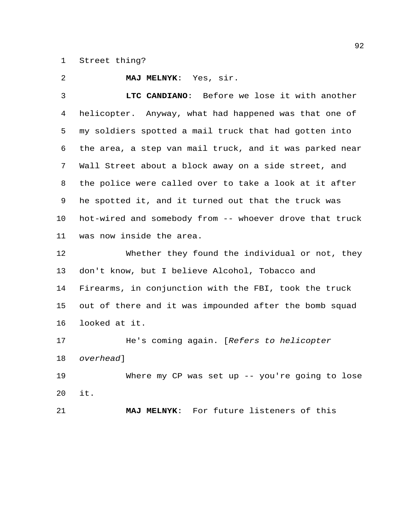## Street thing?

**MAJ MELNYK**: Yes, sir.

 **LTC CANDIANO**: Before we lose it with another helicopter. Anyway, what had happened was that one of my soldiers spotted a mail truck that had gotten into the area, a step van mail truck, and it was parked near Wall Street about a block away on a side street, and the police were called over to take a look at it after he spotted it, and it turned out that the truck was hot-wired and somebody from -- whoever drove that truck was now inside the area.

 Whether they found the individual or not, they don't know, but I believe Alcohol, Tobacco and Firearms, in conjunction with the FBI, took the truck out of there and it was impounded after the bomb squad looked at it.

 He's coming again. [*Refers to helicopter overhead*]

 Where my CP was set up -- you're going to lose it.

**MAJ MELNYK**: For future listeners of this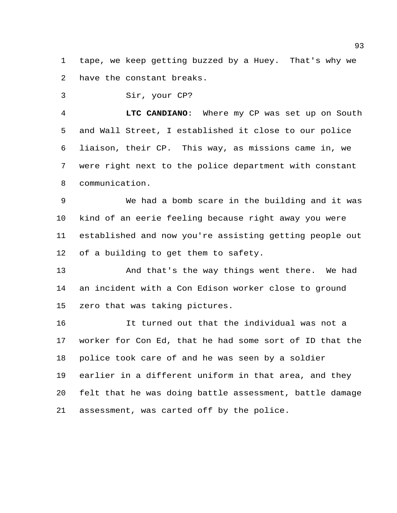tape, we keep getting buzzed by a Huey. That's why we have the constant breaks.

Sir, your CP?

 **LTC CANDIANO**: Where my CP was set up on South and Wall Street, I established it close to our police liaison, their CP. This way, as missions came in, we were right next to the police department with constant communication.

 We had a bomb scare in the building and it was kind of an eerie feeling because right away you were established and now you're assisting getting people out of a building to get them to safety.

 And that's the way things went there. We had an incident with a Con Edison worker close to ground zero that was taking pictures.

 It turned out that the individual was not a worker for Con Ed, that he had some sort of ID that the police took care of and he was seen by a soldier earlier in a different uniform in that area, and they felt that he was doing battle assessment, battle damage assessment, was carted off by the police.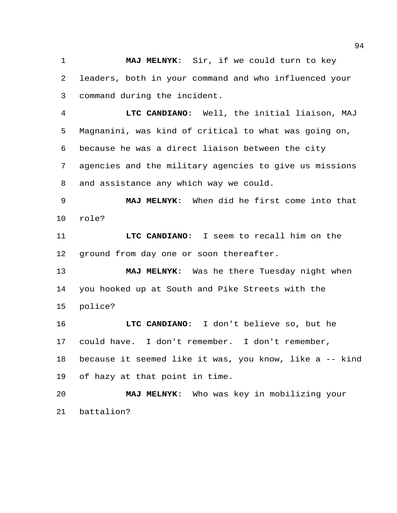**MAJ MELNYK**: Sir, if we could turn to key leaders, both in your command and who influenced your command during the incident.

 **LTC CANDIANO**: Well, the initial liaison, MAJ Magnanini, was kind of critical to what was going on, because he was a direct liaison between the city agencies and the military agencies to give us missions and assistance any which way we could.

 **MAJ MELNYK**: When did he first come into that role?

 **LTC CANDIANO**: I seem to recall him on the ground from day one or soon thereafter.

 **MAJ MELNYK**: Was he there Tuesday night when you hooked up at South and Pike Streets with the police?

 **LTC CANDIANO**: I don't believe so, but he could have. I don't remember. I don't remember, because it seemed like it was, you know, like a -- kind of hazy at that point in time.

 **MAJ MELNYK**: Who was key in mobilizing your battalion?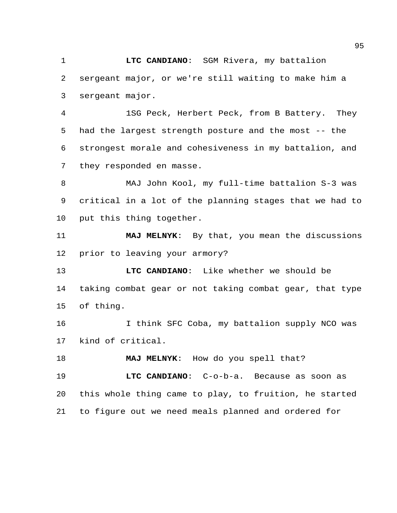**LTC CANDIANO**: SGM Rivera, my battalion sergeant major, or we're still waiting to make him a sergeant major.

 1SG Peck, Herbert Peck, from B Battery. They had the largest strength posture and the most -- the strongest morale and cohesiveness in my battalion, and they responded en masse.

 MAJ John Kool, my full-time battalion S-3 was critical in a lot of the planning stages that we had to put this thing together.

 **MAJ MELNYK**: By that, you mean the discussions prior to leaving your armory?

 **LTC CANDIANO**: Like whether we should be taking combat gear or not taking combat gear, that type of thing.

16 16 I think SFC Coba, my battalion supply NCO was kind of critical.

**MAJ MELNYK**: How do you spell that?

 **LTC CANDIANO**: C-o-b-a. Because as soon as this whole thing came to play, to fruition, he started to figure out we need meals planned and ordered for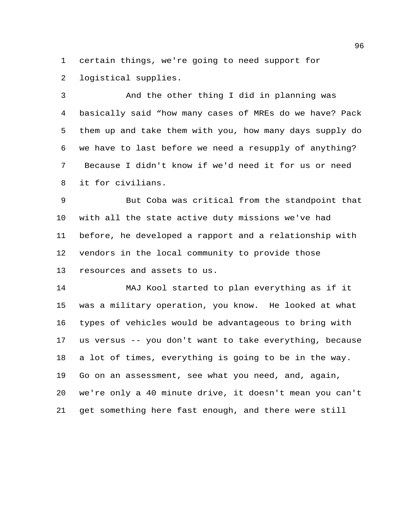certain things, we're going to need support for logistical supplies.

 And the other thing I did in planning was basically said "how many cases of MREs do we have? Pack them up and take them with you, how many days supply do we have to last before we need a resupply of anything? Because I didn't know if we'd need it for us or need it for civilians.

 But Coba was critical from the standpoint that with all the state active duty missions we've had before, he developed a rapport and a relationship with vendors in the local community to provide those resources and assets to us.

 MAJ Kool started to plan everything as if it was a military operation, you know. He looked at what types of vehicles would be advantageous to bring with us versus -- you don't want to take everything, because a lot of times, everything is going to be in the way. Go on an assessment, see what you need, and, again, we're only a 40 minute drive, it doesn't mean you can't get something here fast enough, and there were still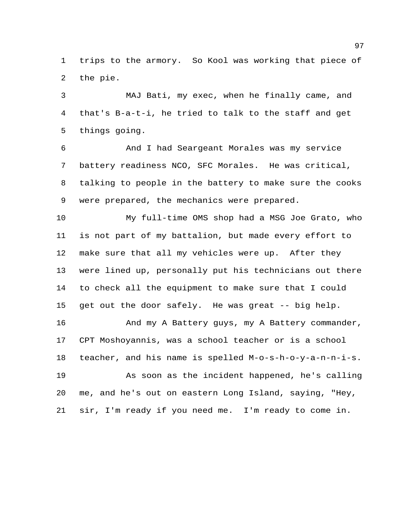trips to the armory. So Kool was working that piece of the pie.

 MAJ Bati, my exec, when he finally came, and that's B-a-t-i, he tried to talk to the staff and get things going.

 And I had Seargeant Morales was my service battery readiness NCO, SFC Morales. He was critical, talking to people in the battery to make sure the cooks were prepared, the mechanics were prepared.

 My full-time OMS shop had a MSG Joe Grato, who is not part of my battalion, but made every effort to make sure that all my vehicles were up. After they were lined up, personally put his technicians out there to check all the equipment to make sure that I could get out the door safely. He was great -- big help.

16 And my A Battery guys, my A Battery commander, CPT Moshoyannis, was a school teacher or is a school teacher, and his name is spelled M-o-s-h-o-y-a-n-n-i-s. As soon as the incident happened, he's calling me, and he's out on eastern Long Island, saying, "Hey, sir, I'm ready if you need me. I'm ready to come in.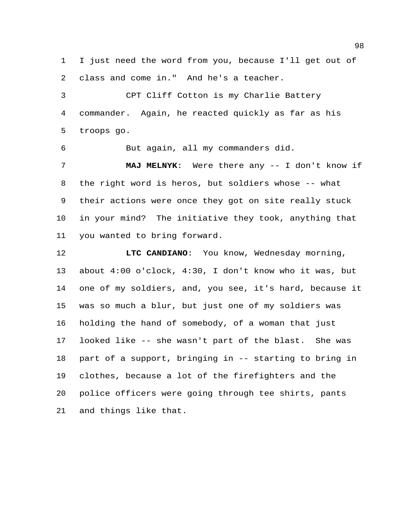I just need the word from you, because I'll get out of class and come in." And he's a teacher.

 CPT Cliff Cotton is my Charlie Battery commander. Again, he reacted quickly as far as his troops go.

But again, all my commanders did.

 **MAJ MELNYK**: Were there any -- I don't know if the right word is heros, but soldiers whose -- what their actions were once they got on site really stuck in your mind? The initiative they took, anything that you wanted to bring forward.

 **LTC CANDIANO**: You know, Wednesday morning, about 4:00 o'clock, 4:30, I don't know who it was, but one of my soldiers, and, you see, it's hard, because it was so much a blur, but just one of my soldiers was holding the hand of somebody, of a woman that just looked like -- she wasn't part of the blast. She was part of a support, bringing in -- starting to bring in clothes, because a lot of the firefighters and the police officers were going through tee shirts, pants and things like that.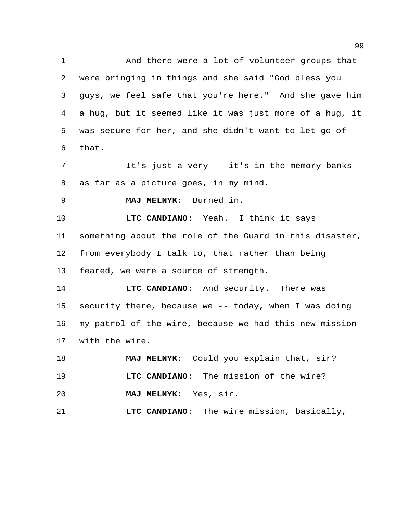And there were a lot of volunteer groups that were bringing in things and she said "God bless you guys, we feel safe that you're here." And she gave him a hug, but it seemed like it was just more of a hug, it was secure for her, and she didn't want to let go of that.

 It's just a very -- it's in the memory banks as far as a picture goes, in my mind.

**MAJ MELNYK**: Burned in.

 **LTC CANDIANO**: Yeah. I think it says something about the role of the Guard in this disaster, from everybody I talk to, that rather than being feared, we were a source of strength.

 **LTC CANDIANO**: And security. There was security there, because we -- today, when I was doing my patrol of the wire, because we had this new mission with the wire.

 **MAJ MELNYK**: Could you explain that, sir? **LTC CANDIANO**: The mission of the wire? **MAJ MELNYK**: Yes, sir.

**LTC CANDIANO**: The wire mission, basically,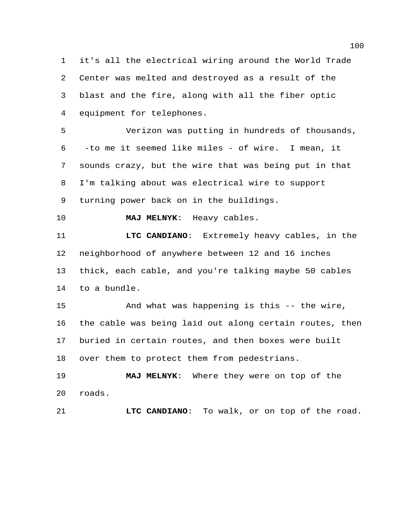it's all the electrical wiring around the World Trade Center was melted and destroyed as a result of the blast and the fire, along with all the fiber optic equipment for telephones.

 Verizon was putting in hundreds of thousands, -to me it seemed like miles - of wire. I mean, it sounds crazy, but the wire that was being put in that I'm talking about was electrical wire to support turning power back on in the buildings.

**MAJ MELNYK**: Heavy cables.

 **LTC CANDIANO**: Extremely heavy cables, in the neighborhood of anywhere between 12 and 16 inches thick, each cable, and you're talking maybe 50 cables to a bundle.

 And what was happening is this -- the wire, the cable was being laid out along certain routes, then buried in certain routes, and then boxes were built over them to protect them from pedestrians.

 **MAJ MELNYK**: Where they were on top of the roads.

**LTC CANDIANO**: To walk, or on top of the road.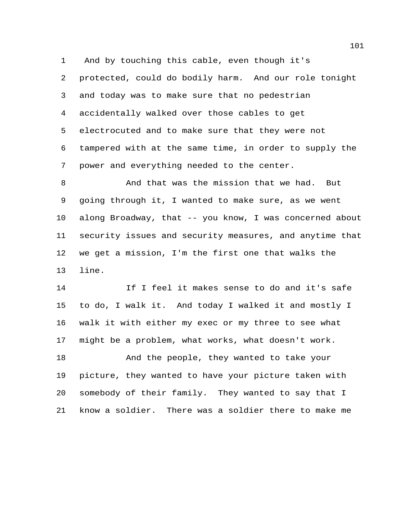And by touching this cable, even though it's protected, could do bodily harm. And our role tonight and today was to make sure that no pedestrian accidentally walked over those cables to get electrocuted and to make sure that they were not tampered with at the same time, in order to supply the power and everything needed to the center.

 And that was the mission that we had. But going through it, I wanted to make sure, as we went along Broadway, that -- you know, I was concerned about security issues and security measures, and anytime that we get a mission, I'm the first one that walks the line.

 If I feel it makes sense to do and it's safe to do, I walk it. And today I walked it and mostly I walk it with either my exec or my three to see what might be a problem, what works, what doesn't work.

 And the people, they wanted to take your picture, they wanted to have your picture taken with somebody of their family. They wanted to say that I know a soldier. There was a soldier there to make me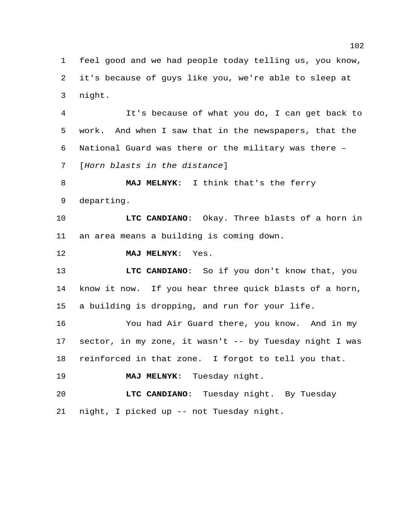feel good and we had people today telling us, you know, it's because of guys like you, we're able to sleep at night.

 It's because of what you do, I can get back to work. And when I saw that in the newspapers, that the National Guard was there or the military was there – [*Horn blasts in the distance*]

 **MAJ MELNYK**: I think that's the ferry departing.

 **LTC CANDIANO**: Okay. Three blasts of a horn in an area means a building is coming down.

**MAJ MELNYK**: Yes.

 **LTC CANDIANO**: So if you don't know that, you know it now. If you hear three quick blasts of a horn, a building is dropping, and run for your life.

 You had Air Guard there, you know. And in my sector, in my zone, it wasn't -- by Tuesday night I was reinforced in that zone. I forgot to tell you that.

**MAJ MELNYK**: Tuesday night.

 **LTC CANDIANO**: Tuesday night. By Tuesday night, I picked up -- not Tuesday night.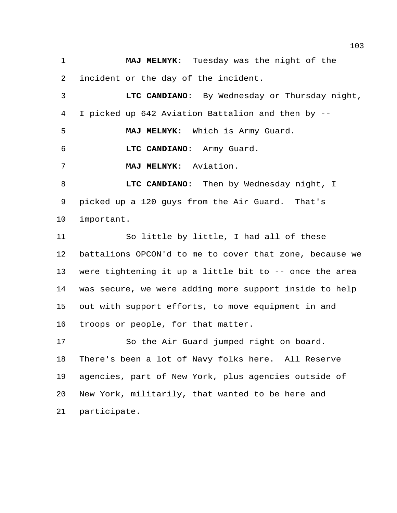**MAJ MELNYK**: Tuesday was the night of the incident or the day of the incident.

 **LTC CANDIANO**: By Wednesday or Thursday night, I picked up 642 Aviation Battalion and then by --

**MAJ MELNYK**: Which is Army Guard.

**LTC CANDIANO**: Army Guard.

**MAJ MELNYK**: Aviation.

 **LTC CANDIANO**: Then by Wednesday night, I picked up a 120 guys from the Air Guard. That's important.

 So little by little, I had all of these battalions OPCON'd to me to cover that zone, because we were tightening it up a little bit to -- once the area was secure, we were adding more support inside to help out with support efforts, to move equipment in and troops or people, for that matter.

 So the Air Guard jumped right on board. There's been a lot of Navy folks here. All Reserve agencies, part of New York, plus agencies outside of New York, militarily, that wanted to be here and participate.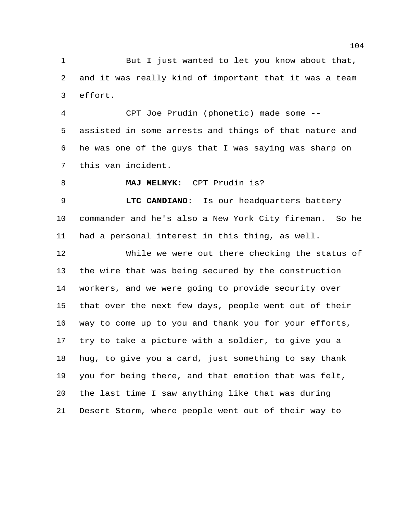But I just wanted to let you know about that, and it was really kind of important that it was a team effort.

 CPT Joe Prudin (phonetic) made some -- assisted in some arrests and things of that nature and he was one of the guys that I was saying was sharp on this van incident.

**MAJ MELNYK**: CPT Prudin is?

 **LTC CANDIANO**: Is our headquarters battery commander and he's also a New York City fireman. So he had a personal interest in this thing, as well.

 While we were out there checking the status of the wire that was being secured by the construction workers, and we were going to provide security over that over the next few days, people went out of their way to come up to you and thank you for your efforts, try to take a picture with a soldier, to give you a hug, to give you a card, just something to say thank you for being there, and that emotion that was felt, the last time I saw anything like that was during Desert Storm, where people went out of their way to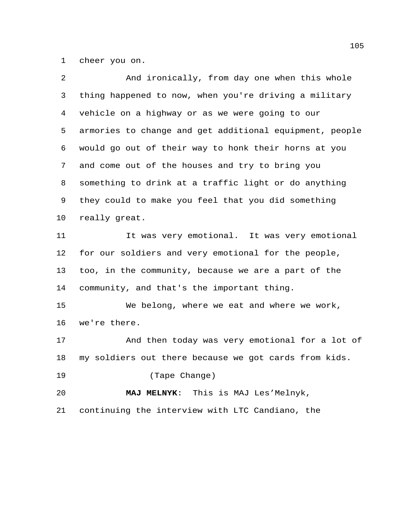cheer you on.

| 2  | And ironically, from day one when this whole            |
|----|---------------------------------------------------------|
| 3  | thing happened to now, when you're driving a military   |
| 4  | vehicle on a highway or as we were going to our         |
| 5  | armories to change and get additional equipment, people |
| 6  | would go out of their way to honk their horns at you    |
| 7  | and come out of the houses and try to bring you         |
| 8  | something to drink at a traffic light or do anything    |
| 9  | they could to make you feel that you did something      |
| 10 | really great.                                           |
| 11 | It was very emotional. It was very emotional            |
| 12 | for our soldiers and very emotional for the people,     |
| 13 | too, in the community, because we are a part of the     |
| 14 | community, and that's the important thing.              |
| 15 | We belong, where we eat and where we work,              |
| 16 | we're there.                                            |
| 17 | And then today was very emotional for a lot of          |
| 18 | my soldiers out there because we got cards from kids.   |
| 19 | (Tape Change)                                           |
| 20 | MAJ MELNYK: This is MAJ Les'Melnyk,                     |
| 21 | continuing the interview with LTC Candiano, the         |
|    |                                                         |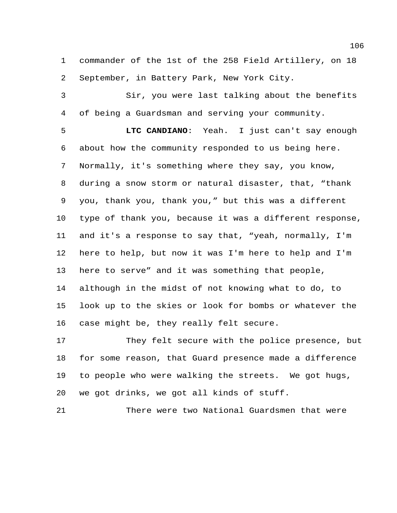commander of the 1st of the 258 Field Artillery, on 18 September, in Battery Park, New York City.

 Sir, you were last talking about the benefits of being a Guardsman and serving your community.

 **LTC CANDIANO**: Yeah. I just can't say enough about how the community responded to us being here. Normally, it's something where they say, you know, during a snow storm or natural disaster, that, "thank you, thank you, thank you," but this was a different type of thank you, because it was a different response, and it's a response to say that, "yeah, normally, I'm here to help, but now it was I'm here to help and I'm here to serve" and it was something that people, although in the midst of not knowing what to do, to look up to the skies or look for bombs or whatever the case might be, they really felt secure.

 They felt secure with the police presence, but for some reason, that Guard presence made a difference to people who were walking the streets. We got hugs, we got drinks, we got all kinds of stuff.

There were two National Guardsmen that were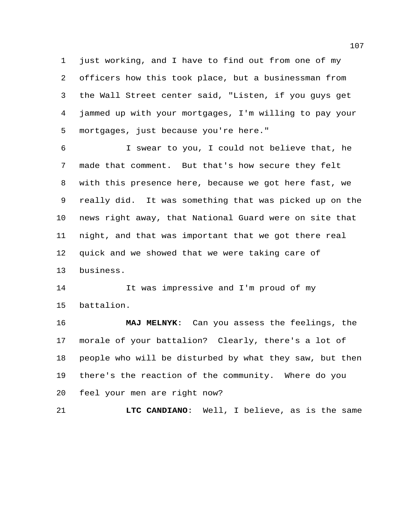just working, and I have to find out from one of my officers how this took place, but a businessman from the Wall Street center said, "Listen, if you guys get jammed up with your mortgages, I'm willing to pay your mortgages, just because you're here."

 I swear to you, I could not believe that, he made that comment. But that's how secure they felt with this presence here, because we got here fast, we really did. It was something that was picked up on the news right away, that National Guard were on site that night, and that was important that we got there real quick and we showed that we were taking care of business.

 It was impressive and I'm proud of my battalion.

 **MAJ MELNYK**: Can you assess the feelings, the morale of your battalion? Clearly, there's a lot of people who will be disturbed by what they saw, but then there's the reaction of the community. Where do you feel your men are right now?

**LTC CANDIANO**: Well, I believe, as is the same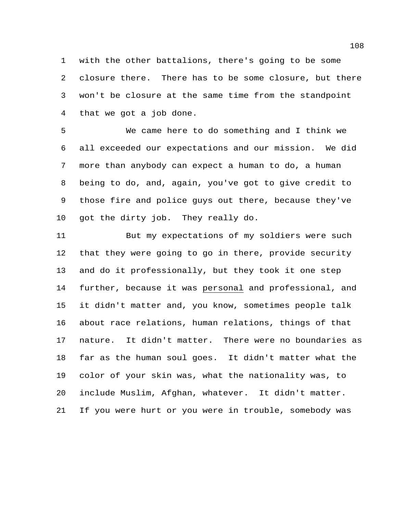with the other battalions, there's going to be some closure there. There has to be some closure, but there won't be closure at the same time from the standpoint that we got a job done.

 We came here to do something and I think we all exceeded our expectations and our mission. We did more than anybody can expect a human to do, a human being to do, and, again, you've got to give credit to those fire and police guys out there, because they've got the dirty job. They really do.

 But my expectations of my soldiers were such that they were going to go in there, provide security and do it professionally, but they took it one step further, because it was personal and professional, and it didn't matter and, you know, sometimes people talk about race relations, human relations, things of that nature. It didn't matter. There were no boundaries as far as the human soul goes. It didn't matter what the color of your skin was, what the nationality was, to include Muslim, Afghan, whatever. It didn't matter. If you were hurt or you were in trouble, somebody was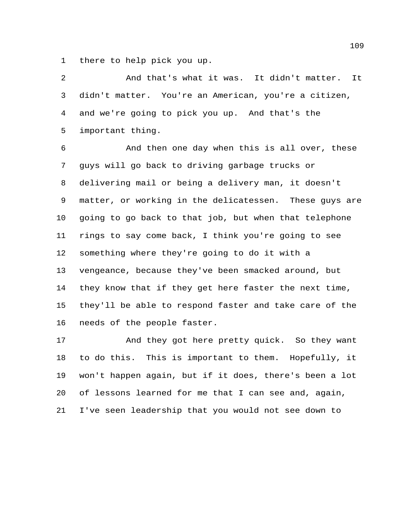there to help pick you up.

 And that's what it was. It didn't matter. It didn't matter. You're an American, you're a citizen, and we're going to pick you up. And that's the important thing.

 And then one day when this is all over, these guys will go back to driving garbage trucks or delivering mail or being a delivery man, it doesn't matter, or working in the delicatessen. These guys are going to go back to that job, but when that telephone rings to say come back, I think you're going to see something where they're going to do it with a vengeance, because they've been smacked around, but they know that if they get here faster the next time, they'll be able to respond faster and take care of the needs of the people faster.

 And they got here pretty quick. So they want to do this. This is important to them. Hopefully, it won't happen again, but if it does, there's been a lot of lessons learned for me that I can see and, again, I've seen leadership that you would not see down to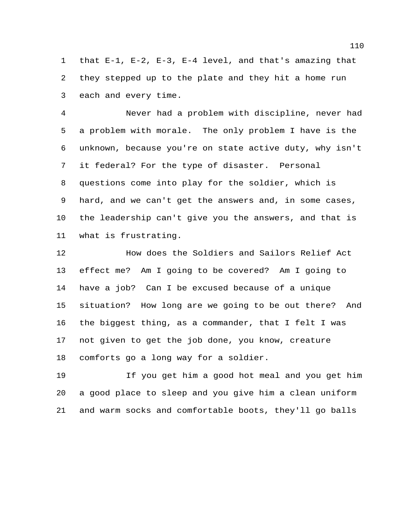that E-1, E-2, E-3, E-4 level, and that's amazing that they stepped up to the plate and they hit a home run each and every time.

 Never had a problem with discipline, never had a problem with morale. The only problem I have is the unknown, because you're on state active duty, why isn't it federal? For the type of disaster. Personal questions come into play for the soldier, which is hard, and we can't get the answers and, in some cases, the leadership can't give you the answers, and that is what is frustrating.

 How does the Soldiers and Sailors Relief Act effect me? Am I going to be covered? Am I going to have a job? Can I be excused because of a unique situation? How long are we going to be out there? And the biggest thing, as a commander, that I felt I was not given to get the job done, you know, creature comforts go a long way for a soldier.

 If you get him a good hot meal and you get him a good place to sleep and you give him a clean uniform and warm socks and comfortable boots, they'll go balls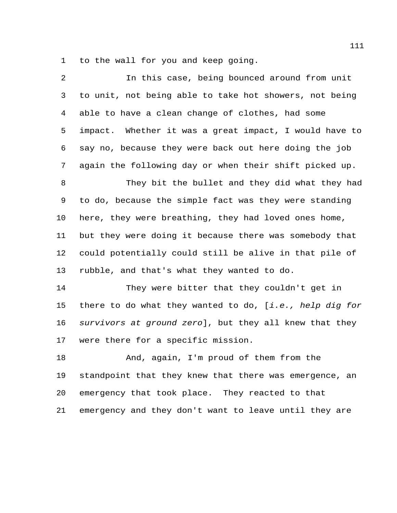to the wall for you and keep going.

| 2  | In this case, being bounced around from unit            |
|----|---------------------------------------------------------|
| 3  | to unit, not being able to take hot showers, not being  |
| 4  | able to have a clean change of clothes, had some        |
| 5  | impact. Whether it was a great impact, I would have to  |
| 6  | say no, because they were back out here doing the job   |
| 7  | again the following day or when their shift picked up.  |
| 8  | They bit the bullet and they did what they had          |
| 9  | to do, because the simple fact was they were standing   |
| 10 | here, they were breathing, they had loved ones home,    |
| 11 | but they were doing it because there was somebody that  |
| 12 | could potentially could still be alive in that pile of  |
| 13 | rubble, and that's what they wanted to do.              |
| 14 | They were bitter that they couldn't get in              |
| 15 | there to do what they wanted to do, [i.e., help dig for |
| 16 | survivors at ground zero], but they all knew that they  |
| 17 | were there for a specific mission.                      |
| 18 | And, again, I'm proud of them from the                  |
| 19 | standpoint that they knew that there was emergence, an  |
| 20 | emergency that took place. They reacted to that         |
| 21 | emergency and they don't want to leave until they are   |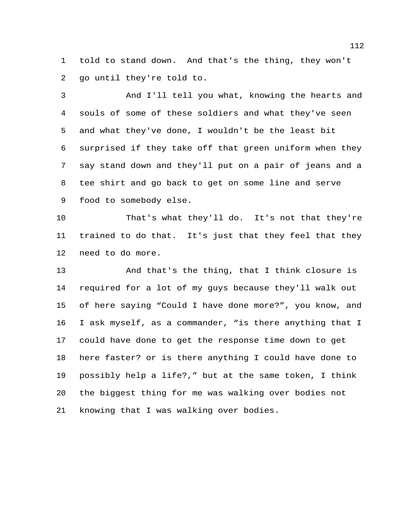told to stand down. And that's the thing, they won't go until they're told to.

 And I'll tell you what, knowing the hearts and souls of some of these soldiers and what they've seen and what they've done, I wouldn't be the least bit surprised if they take off that green uniform when they say stand down and they'll put on a pair of jeans and a tee shirt and go back to get on some line and serve food to somebody else.

 That's what they'll do. It's not that they're trained to do that. It's just that they feel that they need to do more.

 And that's the thing, that I think closure is required for a lot of my guys because they'll walk out of here saying "Could I have done more?", you know, and I ask myself, as a commander, "is there anything that I could have done to get the response time down to get here faster? or is there anything I could have done to possibly help a life?," but at the same token, I think the biggest thing for me was walking over bodies not knowing that I was walking over bodies.